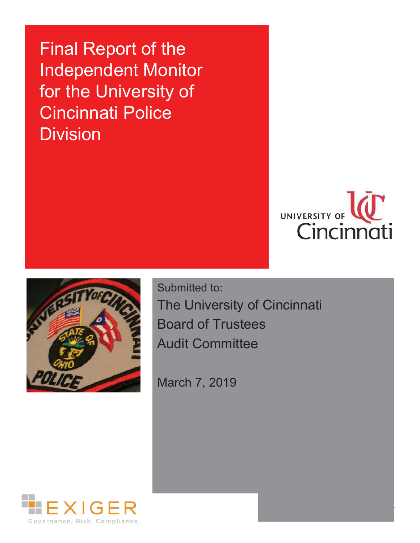**Final Report of the** Independent Monitor for the University of Cincinnati Police Division





Submitted to: The University of Cincinnati **Board of Trustees Audit Committee** 

March 7, 2019

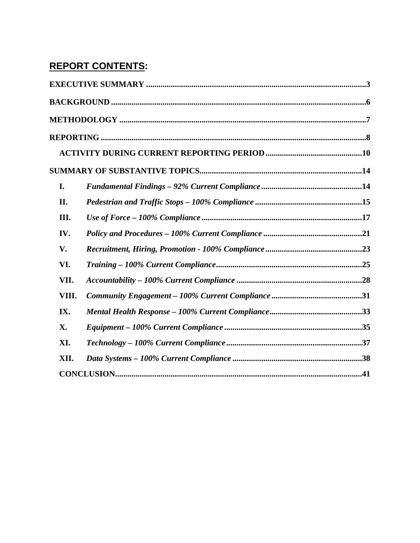# **REPORT CONTENTS:**

| I.    |  |
|-------|--|
| II.   |  |
| III.  |  |
| IV.   |  |
| V.    |  |
| VI.   |  |
| VII.  |  |
| VIII. |  |
| IX.   |  |
| X.    |  |
| XI.   |  |
| XII.  |  |
|       |  |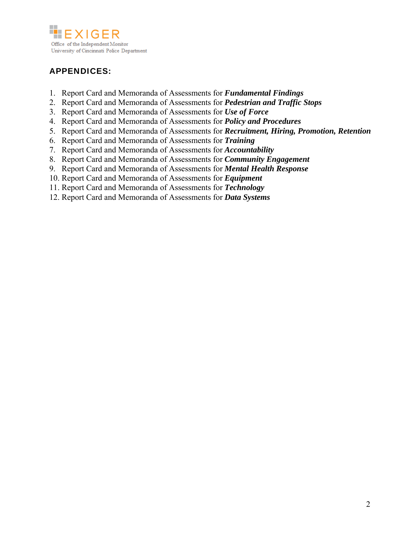

## APPENDICES:

- 1. Report Card and Memoranda of Assessments for *Fundamental Findings*
- 2. Report Card and Memoranda of Assessments for *Pedestrian and Traffic Stops*
- 3. Report Card and Memoranda of Assessments for *Use of Force*
- 4. Report Card and Memoranda of Assessments for *Policy and Procedures*
- 5. Report Card and Memoranda of Assessments for *Recruitment, Hiring, Promotion, Retention*
- 6. Report Card and Memoranda of Assessments for *Training*
- 7. Report Card and Memoranda of Assessments for *Accountability*
- 8. Report Card and Memoranda of Assessments for *Community Engagement*
- 9. Report Card and Memoranda of Assessments for *Mental Health Response*
- 10. Report Card and Memoranda of Assessments for *Equipment*
- 11. Report Card and Memoranda of Assessments for *Technology*
- 12. Report Card and Memoranda of Assessments for *Data Systems*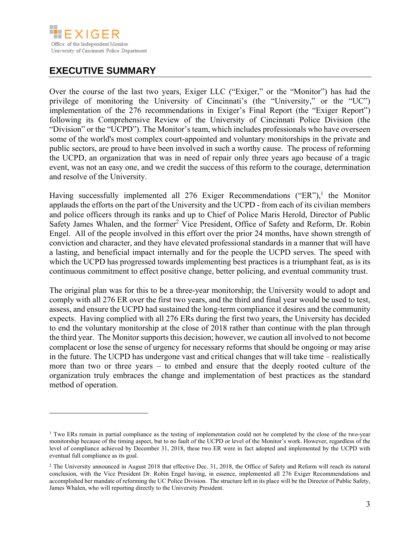

# **EXECUTIVE SUMMARY**

 $\overline{a}$ 

Over the course of the last two years, Exiger LLC ("Exiger," or the "Monitor") has had the privilege of monitoring the University of Cincinnati's (the "University," or the "UC") implementation of the 276 recommendations in Exiger's Final Report (the "Exiger Report") following its Comprehensive Review of the University of Cincinnati Police Division (the "Division" or the "UCPD"). The Monitor's team, which includes professionals who have overseen some of the world's most complex court-appointed and voluntary monitorships in the private and public sectors, are proud to have been involved in such a worthy cause. The process of reforming the UCPD, an organization that was in need of repair only three years ago because of a tragic event, was not an easy one, and we credit the success of this reform to the courage, determination and resolve of the University.

Having successfully implemented all  $276$  Exiger Recommendations ("ER"),<sup>1</sup> the Monitor applauds the efforts on the part of the University and the UCPD - from each of its civilian members and police officers through its ranks and up to Chief of Police Maris Herold, Director of Public Safety James Whalen, and the former<sup>2</sup> Vice President, Office of Safety and Reform, Dr. Robin Engel. All of the people involved in this effort over the prior 24 months, have shown strength of conviction and character, and they have elevated professional standards in a manner that will have a lasting, and beneficial impact internally and for the people the UCPD serves. The speed with which the UCPD has progressed towards implementing best practices is a triumphant feat, as is its continuous commitment to effect positive change, better policing, and eventual community trust.

The original plan was for this to be a three-year monitorship; the University would to adopt and comply with all 276 ER over the first two years, and the third and final year would be used to test, assess, and ensure the UCPD had sustained the long-term compliance it desires and the community expects. Having complied with all 276 ERs during the first two years, the University has decided to end the voluntary monitorship at the close of 2018 rather than continue with the plan through the third year. The Monitor supports this decision; however, we caution all involved to not become complacent or lose the sense of urgency for necessary reforms that should be ongoing or may arise in the future. The UCPD has undergone vast and critical changes that will take time – realistically more than two or three years – to embed and ensure that the deeply rooted culture of the organization truly embraces the change and implementation of best practices as the standard method of operation.

<sup>&</sup>lt;sup>1</sup> Two ERs remain in partial compliance as the testing of implementation could not be completed by the close of the two-year monitorship because of the timing aspect, but to no fault of the UCPD or level of the Monitor's work. However, regardless of the level of compliance achieved by December 31, 2018, these two ER were in fact adopted and implemented by the UCPD with eventual full compliance as its goal.

<sup>2</sup> The University announced in August 2018 that effective Dec. 31, 2018, the Office of Safety and Reform will reach its natural conclusion, with the Vice President Dr. Robin Engel having, in essence, implemented all 276 Exiger Recommendations and accomplished her mandate of reforming the UC Police Division. The structure left in its place will be the Director of Public Safety, James Whalen, who will reporting directly to the University President.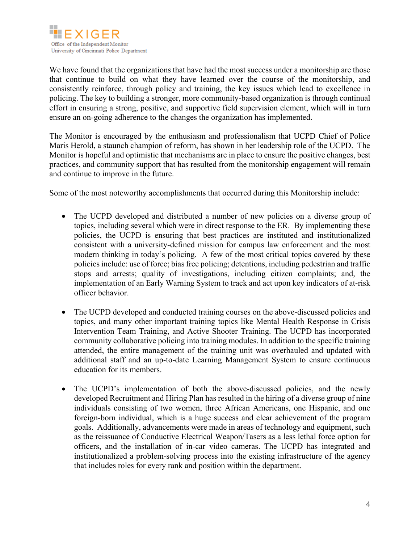

We have found that the organizations that have had the most success under a monitorship are those that continue to build on what they have learned over the course of the monitorship, and consistently reinforce, through policy and training, the key issues which lead to excellence in policing. The key to building a stronger, more community-based organization is through continual effort in ensuring a strong, positive, and supportive field supervision element, which will in turn ensure an on-going adherence to the changes the organization has implemented.

The Monitor is encouraged by the enthusiasm and professionalism that UCPD Chief of Police Maris Herold, a staunch champion of reform, has shown in her leadership role of the UCPD. The Monitor is hopeful and optimistic that mechanisms are in place to ensure the positive changes, best practices, and community support that has resulted from the monitorship engagement will remain and continue to improve in the future.

Some of the most noteworthy accomplishments that occurred during this Monitorship include:

- The UCPD developed and distributed a number of new policies on a diverse group of topics, including several which were in direct response to the ER. By implementing these policies, the UCPD is ensuring that best practices are instituted and institutionalized consistent with a university-defined mission for campus law enforcement and the most modern thinking in today's policing. A few of the most critical topics covered by these policies include: use of force; bias free policing; detentions, including pedestrian and traffic stops and arrests; quality of investigations, including citizen complaints; and, the implementation of an Early Warning System to track and act upon key indicators of at-risk officer behavior.
- The UCPD developed and conducted training courses on the above-discussed policies and topics, and many other important training topics like Mental Health Response in Crisis Intervention Team Training, and Active Shooter Training. The UCPD has incorporated community collaborative policing into training modules. In addition to the specific training attended, the entire management of the training unit was overhauled and updated with additional staff and an up-to-date Learning Management System to ensure continuous education for its members.
- The UCPD's implementation of both the above-discussed policies, and the newly developed Recruitment and Hiring Plan has resulted in the hiring of a diverse group of nine individuals consisting of two women, three African Americans, one Hispanic, and one foreign-born individual, which is a huge success and clear achievement of the program goals. Additionally, advancements were made in areas of technology and equipment, such as the reissuance of Conductive Electrical Weapon/Tasers as a less lethal force option for officers, and the installation of in-car video cameras. The UCPD has integrated and institutionalized a problem-solving process into the existing infrastructure of the agency that includes roles for every rank and position within the department.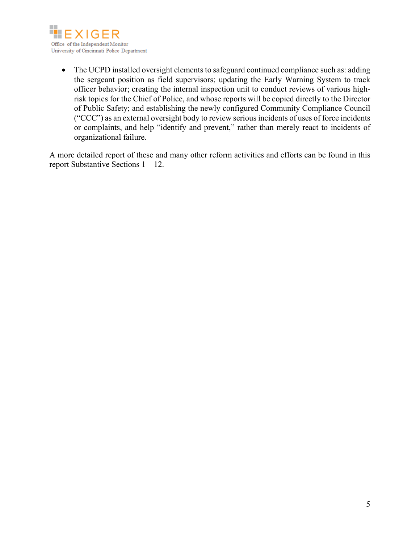

• The UCPD installed oversight elements to safeguard continued compliance such as: adding the sergeant position as field supervisors; updating the Early Warning System to track officer behavior; creating the internal inspection unit to conduct reviews of various highrisk topics for the Chief of Police, and whose reports will be copied directly to the Director of Public Safety; and establishing the newly configured Community Compliance Council ("CCC") as an external oversight body to review serious incidents of uses of force incidents or complaints, and help "identify and prevent," rather than merely react to incidents of organizational failure.

A more detailed report of these and many other reform activities and efforts can be found in this report Substantive Sections 1 – 12.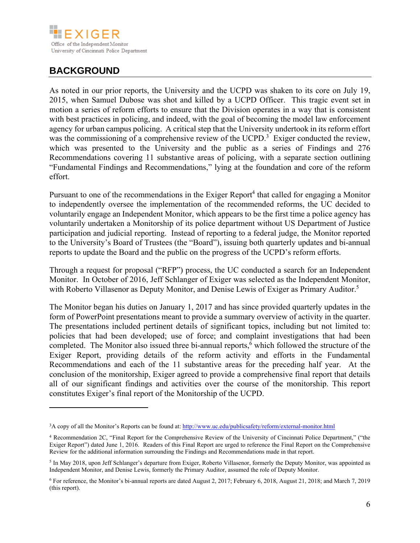

# **BACKGROUND**

 $\overline{a}$ 

As noted in our prior reports, the University and the UCPD was shaken to its core on July 19, 2015, when Samuel Dubose was shot and killed by a UCPD Officer. This tragic event set in motion a series of reform efforts to ensure that the Division operates in a way that is consistent with best practices in policing, and indeed, with the goal of becoming the model law enforcement agency for urban campus policing. A critical step that the University undertook in its reform effort was the commissioning of a comprehensive review of the UCPD.<sup>3</sup> Exiger conducted the review, which was presented to the University and the public as a series of Findings and 276 Recommendations covering 11 substantive areas of policing, with a separate section outlining "Fundamental Findings and Recommendations," lying at the foundation and core of the reform effort.

Pursuant to one of the recommendations in the Exiger Report<sup>4</sup> that called for engaging a Monitor to independently oversee the implementation of the recommended reforms, the UC decided to voluntarily engage an Independent Monitor, which appears to be the first time a police agency has voluntarily undertaken a Monitorship of its police department without US Department of Justice participation and judicial reporting. Instead of reporting to a federal judge, the Monitor reported to the University's Board of Trustees (the "Board"), issuing both quarterly updates and bi-annual reports to update the Board and the public on the progress of the UCPD's reform efforts.

Through a request for proposal ("RFP") process, the UC conducted a search for an Independent Monitor. In October of 2016, Jeff Schlanger of Exiger was selected as the Independent Monitor, with Roberto Villasenor as Deputy Monitor, and Denise Lewis of Exiger as Primary Auditor.<sup>5</sup>

The Monitor began his duties on January 1, 2017 and has since provided quarterly updates in the form of PowerPoint presentations meant to provide a summary overview of activity in the quarter. The presentations included pertinent details of significant topics, including but not limited to: policies that had been developed; use of force; and complaint investigations that had been completed. The Monitor also issued three bi-annual reports,<sup>6</sup> which followed the structure of the Exiger Report, providing details of the reform activity and efforts in the Fundamental Recommendations and each of the 11 substantive areas for the preceding half year. At the conclusion of the monitorship, Exiger agreed to provide a comprehensive final report that details all of our significant findings and activities over the course of the monitorship. This report constitutes Exiger's final report of the Monitorship of the UCPD.

<sup>&</sup>lt;sup>3</sup>A copy of all the Monitor's Reports can be found at: http://www.uc.edu/publicsafety/reform/external-monitor.html

<sup>4</sup> Recommendation 2C, "Final Report for the Comprehensive Review of the University of Cincinnati Police Department," ("the Exiger Report") dated June 1, 2016. Readers of this Final Report are urged to reference the Final Report on the Comprehensive Review for the additional information surrounding the Findings and Recommendations made in that report.

<sup>5</sup> In May 2018, upon Jeff Schlanger's departure from Exiger, Roberto Villasenor, formerly the Deputy Monitor, was appointed as Independent Monitor, and Denise Lewis, formerly the Primary Auditor, assumed the role of Deputy Monitor.

<sup>6</sup> For reference, the Monitor's bi-annual reports are dated August 2, 2017; February 6, 2018, August 21, 2018; and March 7, 2019 (this report).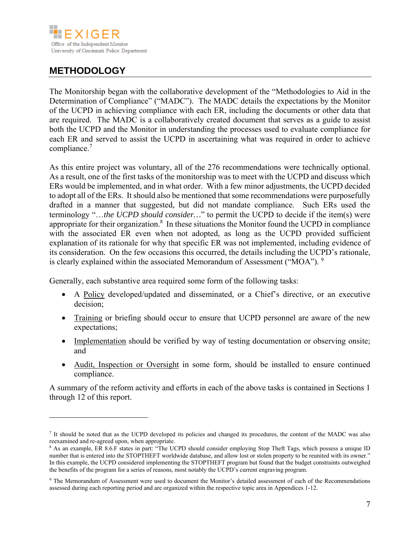

# **METHODOLOGY**

 $\overline{a}$ 

The Monitorship began with the collaborative development of the "Methodologies to Aid in the Determination of Compliance" ("MADC"). The MADC details the expectations by the Monitor of the UCPD in achieving compliance with each ER, including the documents or other data that are required. The MADC is a collaboratively created document that serves as a guide to assist both the UCPD and the Monitor in understanding the processes used to evaluate compliance for each ER and served to assist the UCPD in ascertaining what was required in order to achieve compliance.<sup>7</sup>

As this entire project was voluntary, all of the 276 recommendations were technically optional. As a result, one of the first tasks of the monitorship was to meet with the UCPD and discuss which ERs would be implemented, and in what order. With a few minor adjustments, the UCPD decided to adopt all of the ERs. It should also be mentioned that some recommendations were purposefully drafted in a manner that suggested, but did not mandate compliance. Such ERs used the terminology "…*the UCPD should consider…*" to permit the UCPD to decide if the item(s) were appropriate for their organization.<sup>8</sup> In these situations the Monitor found the UCPD in compliance with the associated ER even when not adopted, as long as the UCPD provided sufficient explanation of its rationale for why that specific ER was not implemented, including evidence of its consideration. On the few occasions this occurred, the details including the UCPD's rationale, is clearly explained within the associated Memorandum of Assessment ("MOA").  $9$ 

Generally, each substantive area required some form of the following tasks:

- A Policy developed/updated and disseminated, or a Chief's directive, or an executive decision;
- Training or briefing should occur to ensure that UCPD personnel are aware of the new expectations;
- Implementation should be verified by way of testing documentation or observing onsite; and
- Audit, Inspection or Oversight in some form, should be installed to ensure continued compliance.

A summary of the reform activity and efforts in each of the above tasks is contained in Sections 1 through 12 of this report.

<sup>7</sup> It should be noted that as the UCPD developed its policies and changed its procedures, the content of the MADC was also reexamined and re-agreed upon, when appropriate.

<sup>8</sup> As an example, ER 8.6.F states in part: "The UCPD should consider employing Stop Theft Tags, which possess a unique ID number that is entered into the STOPTHEFT worldwide database, and allow lost or stolen property to be reunited with its owner." In this example, the UCPD considered implementing the STOPTHEFT program but found that the budget constraints outweighed the benefits of the program for a series of reasons, most notably the UCPD's current engraving program.

<sup>9</sup> The Memorandum of Assessment were used to document the Monitor's detailed assessment of each of the Recommendations assessed during each reporting period and are organized within the respective topic area in Appendices 1-12.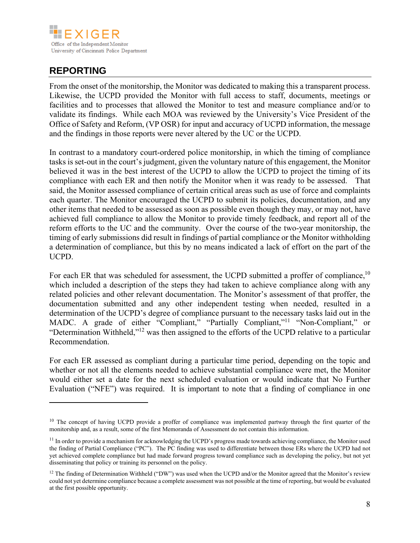

# **REPORTING**

 $\overline{a}$ 

From the onset of the monitorship, the Monitor was dedicated to making this a transparent process. Likewise, the UCPD provided the Monitor with full access to staff, documents, meetings or facilities and to processes that allowed the Monitor to test and measure compliance and/or to validate its findings. While each MOA was reviewed by the University's Vice President of the Office of Safety and Reform, (VP OSR) for input and accuracy of UCPD information, the message and the findings in those reports were never altered by the UC or the UCPD.

In contrast to a mandatory court-ordered police monitorship, in which the timing of compliance tasks is set-out in the court's judgment, given the voluntary nature of this engagement, the Monitor believed it was in the best interest of the UCPD to allow the UCPD to project the timing of its compliance with each ER and then notify the Monitor when it was ready to be assessed. That said, the Monitor assessed compliance of certain critical areas such as use of force and complaints each quarter. The Monitor encouraged the UCPD to submit its policies, documentation, and any other items that needed to be assessed as soon as possible even though they may, or may not, have achieved full compliance to allow the Monitor to provide timely feedback, and report all of the reform efforts to the UC and the community. Over the course of the two-year monitorship, the timing of early submissions did result in findings of partial compliance or the Monitor withholding a determination of compliance, but this by no means indicated a lack of effort on the part of the UCPD.

For each ER that was scheduled for assessment, the UCPD submitted a proffer of compliance,<sup>10</sup> which included a description of the steps they had taken to achieve compliance along with any related policies and other relevant documentation. The Monitor's assessment of that proffer, the documentation submitted and any other independent testing when needed, resulted in a determination of the UCPD's degree of compliance pursuant to the necessary tasks laid out in the MADC. A grade of either "Compliant," "Partially Compliant,"<sup>11</sup> "Non-Compliant," or "Determination Withheld,"12 was then assigned to the efforts of the UCPD relative to a particular Recommendation.

For each ER assessed as compliant during a particular time period, depending on the topic and whether or not all the elements needed to achieve substantial compliance were met, the Monitor would either set a date for the next scheduled evaluation or would indicate that No Further Evaluation ("NFE") was required. It is important to note that a finding of compliance in one

 $10$  The concept of having UCPD provide a proffer of compliance was implemented partway through the first quarter of the monitorship and, as a result, some of the first Memoranda of Assessment do not contain this information.

<sup>&</sup>lt;sup>11</sup> In order to provide a mechanism for acknowledging the UCPD's progress made towards achieving compliance, the Monitor used the finding of Partial Compliance ("PC"). The PC finding was used to differentiate between those ERs where the UCPD had not yet achieved complete compliance but had made forward progress toward compliance such as developing the policy, but not yet disseminating that policy or training its personnel on the policy.

<sup>&</sup>lt;sup>12</sup> The finding of Determination Withheld ("DW") was used when the UCPD and/or the Monitor agreed that the Monitor's review could not yet determine compliance because a complete assessment was not possible at the time of reporting, but would be evaluated at the first possible opportunity.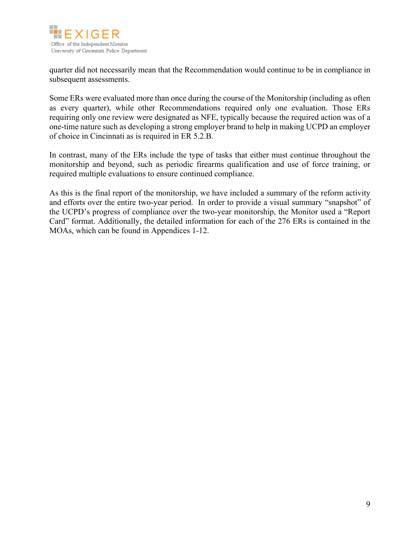

quarter did not necessarily mean that the Recommendation would continue to be in compliance in subsequent assessments.

Some ERs were evaluated more than once during the course of the Monitorship (including as often as every quarter), while other Recommendations required only one evaluation. Those ERs requiring only one review were designated as NFE, typically because the required action was of a one-time nature such as developing a strong employer brand to help in making UCPD an employer of choice in Cincinnati as is required in ER 5.2.B.

In contrast, many of the ERs include the type of tasks that either must continue throughout the monitorship and beyond, such as periodic firearms qualification and use of force training, or required multiple evaluations to ensure continued compliance.

As this is the final report of the monitorship, we have included a summary of the reform activity and efforts over the entire two-year period. In order to provide a visual summary "snapshot" of the UCPD's progress of compliance over the two-year monitorship, the Monitor used a "Report Card" format. Additionally, the detailed information for each of the 276 ERs is contained in the MOAs, which can be found in Appendices 1-12.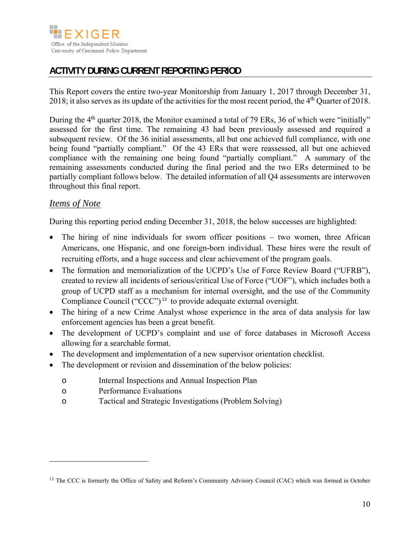

# **ACTIVITY DURING CURRENT REPORTING PERIOD**

This Report covers the entire two-year Monitorship from January 1, 2017 through December 31, 2018; it also serves as its update of the activities for the most recent period, the  $4<sup>th</sup>$  Quarter of 2018.

During the 4<sup>th</sup> quarter 2018, the Monitor examined a total of 79 ERs, 36 of which were "initially" assessed for the first time. The remaining 43 had been previously assessed and required a subsequent review. Of the 36 initial assessments, all but one achieved full compliance, with one being found "partially compliant." Of the 43 ERs that were reassessed, all but one achieved compliance with the remaining one being found "partially compliant." A summary of the remaining assessments conducted during the final period and the two ERs determined to be partially compliant follows below. The detailed information of all Q4 assessments are interwoven throughout this final report.

## *Items of Note*

 $\overline{a}$ 

During this reporting period ending December 31, 2018, the below successes are highlighted:

- The hiring of nine individuals for sworn officer positions two women, three African Americans, one Hispanic, and one foreign-born individual. These hires were the result of recruiting efforts, and a huge success and clear achievement of the program goals.
- The formation and memorialization of the UCPD's Use of Force Review Board ("UFRB"), created to review all incidents of serious/critical Use of Force ("UOF"), which includes both a group of UCPD staff as a mechanism for internal oversight, and the use of the Community Compliance Council ("CCC") <sup>13</sup> to provide adequate external oversight.
- The hiring of a new Crime Analyst whose experience in the area of data analysis for law enforcement agencies has been a great benefit.
- The development of UCPD's complaint and use of force databases in Microsoft Access allowing for a searchable format.
- The development and implementation of a new supervisor orientation checklist.
- The development or revision and dissemination of the below policies:
	- o Internal Inspections and Annual Inspection Plan
	- o Performance Evaluations
	- o Tactical and Strategic Investigations (Problem Solving)

<sup>&</sup>lt;sup>13</sup> The CCC is formerly the Office of Safety and Reform's Community Advisory Council (CAC) which was formed in October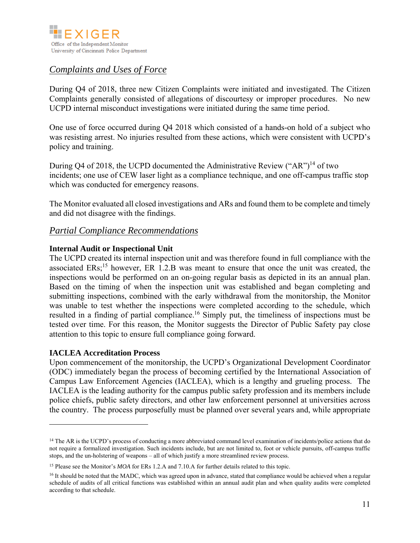

## *Complaints and Uses of Force*

During Q4 of 2018, three new Citizen Complaints were initiated and investigated. The Citizen Complaints generally consisted of allegations of discourtesy or improper procedures. No new UCPD internal misconduct investigations were initiated during the same time period.

One use of force occurred during Q4 2018 which consisted of a hands-on hold of a subject who was resisting arrest. No injuries resulted from these actions, which were consistent with UCPD's policy and training.

During Q4 of 2018, the UCPD documented the Administrative Review ("AR")<sup>14</sup> of two incidents; one use of CEW laser light as a compliance technique, and one off-campus traffic stop which was conducted for emergency reasons.

The Monitor evaluated all closed investigations and ARs and found them to be complete and timely and did not disagree with the findings.

#### *Partial Compliance Recommendations*

#### **Internal Audit or Inspectional Unit**

The UCPD created its internal inspection unit and was therefore found in full compliance with the associated  $ERs$ ;<sup>15</sup> however,  $ER\ 1.2.B$  was meant to ensure that once the unit was created, the inspections would be performed on an on-going regular basis as depicted in its an annual plan. Based on the timing of when the inspection unit was established and began completing and submitting inspections, combined with the early withdrawal from the monitorship, the Monitor was unable to test whether the inspections were completed according to the schedule, which resulted in a finding of partial compliance.<sup>16</sup> Simply put, the timeliness of inspections must be tested over time. For this reason, the Monitor suggests the Director of Public Safety pay close attention to this topic to ensure full compliance going forward.

#### **IACLEA Accreditation Process**

 $\overline{a}$ 

Upon commencement of the monitorship, the UCPD's Organizational Development Coordinator (ODC) immediately began the process of becoming certified by the International Association of Campus Law Enforcement Agencies (IACLEA), which is a lengthy and grueling process. The IACLEA is the leading authority for the campus public safety profession and its members include police chiefs, public safety directors, and other law enforcement personnel at universities across the country. The process purposefully must be planned over several years and, while appropriate

<sup>&</sup>lt;sup>14</sup> The AR is the UCPD's process of conducting a more abbreviated command level examination of incidents/police actions that do not require a formalized investigation. Such incidents include, but are not limited to, foot or vehicle pursuits, off-campus traffic stops, and the un-holstering of weapons – all of which justify a more streamlined review process.

<sup>15</sup> Please see the Monitor's *MOA* for ERs 1.2.A and 7.10.A for further details related to this topic.

<sup>&</sup>lt;sup>16</sup> It should be noted that the MADC, which was agreed upon in advance, stated that compliance would be achieved when a regular schedule of audits of all critical functions was established within an annual audit plan and when quality audits were completed according to that schedule.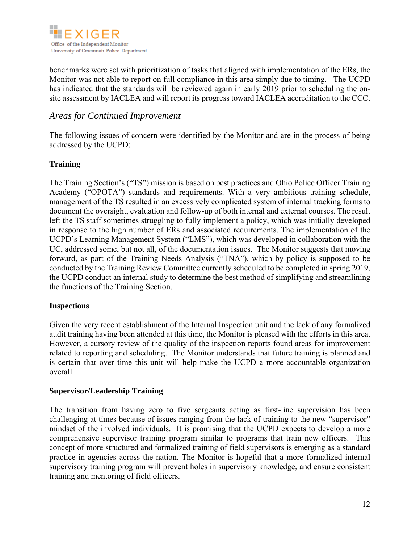

benchmarks were set with prioritization of tasks that aligned with implementation of the ERs, the Monitor was not able to report on full compliance in this area simply due to timing. The UCPD has indicated that the standards will be reviewed again in early 2019 prior to scheduling the onsite assessment by IACLEA and will report its progress toward IACLEA accreditation to the CCC.

#### *Areas for Continued Improvement*

The following issues of concern were identified by the Monitor and are in the process of being addressed by the UCPD:

#### **Training**

The Training Section's ("TS") mission is based on best practices and Ohio Police Officer Training Academy ("OPOTA") standards and requirements. With a very ambitious training schedule, management of the TS resulted in an excessively complicated system of internal tracking forms to document the oversight, evaluation and follow-up of both internal and external courses. The result left the TS staff sometimes struggling to fully implement a policy, which was initially developed in response to the high number of ERs and associated requirements. The implementation of the UCPD's Learning Management System ("LMS"), which was developed in collaboration with the UC, addressed some, but not all, of the documentation issues. The Monitor suggests that moving forward, as part of the Training Needs Analysis ("TNA"), which by policy is supposed to be conducted by the Training Review Committee currently scheduled to be completed in spring 2019, the UCPD conduct an internal study to determine the best method of simplifying and streamlining the functions of the Training Section.

#### **Inspections**

Given the very recent establishment of the Internal Inspection unit and the lack of any formalized audit training having been attended at this time, the Monitor is pleased with the efforts in this area. However, a cursory review of the quality of the inspection reports found areas for improvement related to reporting and scheduling. The Monitor understands that future training is planned and is certain that over time this unit will help make the UCPD a more accountable organization overall.

#### **Supervisor/Leadership Training**

The transition from having zero to five sergeants acting as first-line supervision has been challenging at times because of issues ranging from the lack of training to the new "supervisor" mindset of the involved individuals. It is promising that the UCPD expects to develop a more comprehensive supervisor training program similar to programs that train new officers. This concept of more structured and formalized training of field supervisors is emerging as a standard practice in agencies across the nation. The Monitor is hopeful that a more formalized internal supervisory training program will prevent holes in supervisory knowledge, and ensure consistent training and mentoring of field officers.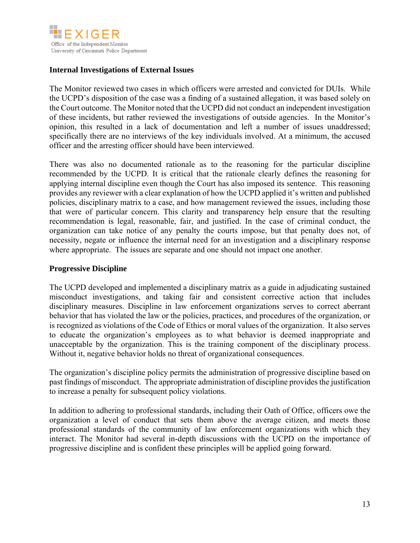

#### **Internal Investigations of External Issues**

The Monitor reviewed two cases in which officers were arrested and convicted for DUIs. While the UCPD's disposition of the case was a finding of a sustained allegation, it was based solely on the Court outcome. The Monitor noted that the UCPD did not conduct an independent investigation of these incidents, but rather reviewed the investigations of outside agencies. In the Monitor's opinion, this resulted in a lack of documentation and left a number of issues unaddressed; specifically there are no interviews of the key individuals involved. At a minimum, the accused officer and the arresting officer should have been interviewed.

There was also no documented rationale as to the reasoning for the particular discipline recommended by the UCPD. It is critical that the rationale clearly defines the reasoning for applying internal discipline even though the Court has also imposed its sentence. This reasoning provides any reviewer with a clear explanation of how the UCPD applied it's written and published policies, disciplinary matrix to a case, and how management reviewed the issues, including those that were of particular concern. This clarity and transparency help ensure that the resulting recommendation is legal, reasonable, fair, and justified. In the case of criminal conduct, the organization can take notice of any penalty the courts impose, but that penalty does not, of necessity, negate or influence the internal need for an investigation and a disciplinary response where appropriate. The issues are separate and one should not impact one another.

#### **Progressive Discipline**

The UCPD developed and implemented a disciplinary matrix as a guide in adjudicating sustained misconduct investigations, and taking fair and consistent corrective action that includes disciplinary measures. Discipline in law enforcement organizations serves to correct aberrant behavior that has violated the law or the policies, practices, and procedures of the organization, or is recognized as violations of the Code of Ethics or moral values of the organization. It also serves to educate the organization's employees as to what behavior is deemed inappropriate and unacceptable by the organization. This is the training component of the disciplinary process. Without it, negative behavior holds no threat of organizational consequences.

The organization's discipline policy permits the administration of progressive discipline based on past findings of misconduct. The appropriate administration of discipline provides the justification to increase a penalty for subsequent policy violations.

In addition to adhering to professional standards, including their Oath of Office, officers owe the organization a level of conduct that sets them above the average citizen, and meets those professional standards of the community of law enforcement organizations with which they interact. The Monitor had several in-depth discussions with the UCPD on the importance of progressive discipline and is confident these principles will be applied going forward.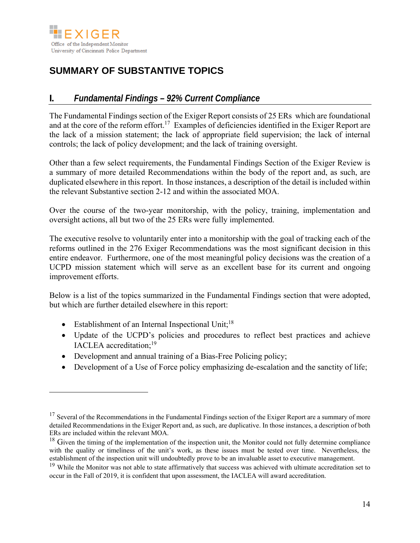

# **SUMMARY OF SUBSTANTIVE TOPICS**

## **I.** *Fundamental Findings – 92% Current Compliance*

The Fundamental Findings section of the Exiger Report consists of 25 ERs which are foundational and at the core of the reform effort.<sup>17</sup> Examples of deficiencies identified in the Exiger Report are the lack of a mission statement; the lack of appropriate field supervision; the lack of internal controls; the lack of policy development; and the lack of training oversight.

Other than a few select requirements, the Fundamental Findings Section of the Exiger Review is a summary of more detailed Recommendations within the body of the report and, as such, are duplicated elsewhere in this report. In those instances, a description of the detail is included within the relevant Substantive section 2-12 and within the associated MOA.

Over the course of the two-year monitorship, with the policy, training, implementation and oversight actions, all but two of the 25 ERs were fully implemented.

The executive resolve to voluntarily enter into a monitorship with the goal of tracking each of the reforms outlined in the 276 Exiger Recommendations was the most significant decision in this entire endeavor. Furthermore, one of the most meaningful policy decisions was the creation of a UCPD mission statement which will serve as an excellent base for its current and ongoing improvement efforts.

Below is a list of the topics summarized in the Fundamental Findings section that were adopted, but which are further detailed elsewhere in this report:

• Establishment of an Internal Inspectional Unit;<sup>18</sup>

 $\overline{a}$ 

- Update of the UCPD's policies and procedures to reflect best practices and achieve IACLEA accreditation;19
- Development and annual training of a Bias-Free Policing policy;
- Development of a Use of Force policy emphasizing de-escalation and the sanctity of life;

 $17$  Several of the Recommendations in the Fundamental Findings section of the Exiger Report are a summary of more detailed Recommendations in the Exiger Report and, as such, are duplicative. In those instances, a description of both ERs are included within the relevant MOA.

<sup>&</sup>lt;sup>18</sup> Given the timing of the implementation of the inspection unit, the Monitor could not fully determine compliance with the quality or timeliness of the unit's work, as these issues must be tested over time. Nevertheless, the establishment of the inspection unit will undoubtedly prove to be an invaluable asset to executive management.

<sup>&</sup>lt;sup>19</sup> While the Monitor was not able to state affirmatively that success was achieved with ultimate accreditation set to occur in the Fall of 2019, it is confident that upon assessment, the IACLEA will award accreditation.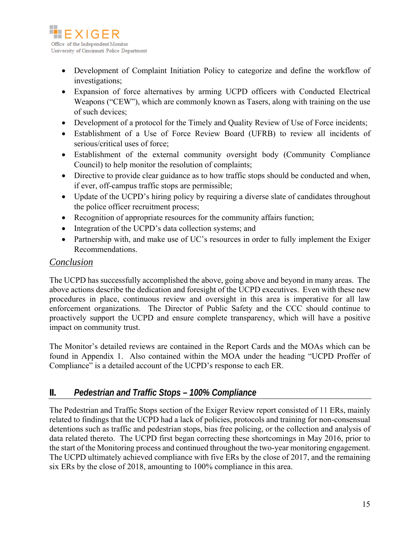

- Development of Complaint Initiation Policy to categorize and define the workflow of investigations;
- Expansion of force alternatives by arming UCPD officers with Conducted Electrical Weapons ("CEW"), which are commonly known as Tasers, along with training on the use of such devices;
- Development of a protocol for the Timely and Quality Review of Use of Force incidents;
- Establishment of a Use of Force Review Board (UFRB) to review all incidents of serious/critical uses of force;
- Establishment of the external community oversight body (Community Compliance Council) to help monitor the resolution of complaints;
- Directive to provide clear guidance as to how traffic stops should be conducted and when, if ever, off-campus traffic stops are permissible;
- Update of the UCPD's hiring policy by requiring a diverse slate of candidates throughout the police officer recruitment process;
- Recognition of appropriate resources for the community affairs function;
- Integration of the UCPD's data collection systems; and
- Partnership with, and make use of UC's resources in order to fully implement the Exiger Recommendations.

#### *Conclusion*

The UCPD has successfully accomplished the above, going above and beyond in many areas. The above actions describe the dedication and foresight of the UCPD executives. Even with these new procedures in place, continuous review and oversight in this area is imperative for all law enforcement organizations. The Director of Public Safety and the CCC should continue to proactively support the UCPD and ensure complete transparency, which will have a positive impact on community trust.

The Monitor's detailed reviews are contained in the Report Cards and the MOAs which can be found in Appendix 1. Also contained within the MOA under the heading "UCPD Proffer of Compliance" is a detailed account of the UCPD's response to each ER.

## **II.** *Pedestrian and Traffic Stops – 100% Compliance*

The Pedestrian and Traffic Stops section of the Exiger Review report consisted of 11 ERs, mainly related to findings that the UCPD had a lack of policies, protocols and training for non-consensual detentions such as traffic and pedestrian stops, bias free policing, or the collection and analysis of data related thereto. The UCPD first began correcting these shortcomings in May 2016, prior to the start of the Monitoring process and continued throughout the two-year monitoring engagement. The UCPD ultimately achieved compliance with five ERs by the close of 2017, and the remaining six ERs by the close of 2018, amounting to 100% compliance in this area.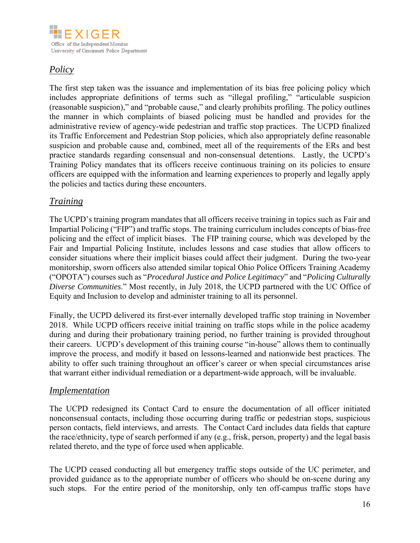

# *Policy*

The first step taken was the issuance and implementation of its bias free policing policy which includes appropriate definitions of terms such as "illegal profiling," "articulable suspicion (reasonable suspicion)," and "probable cause," and clearly prohibits profiling. The policy outlines the manner in which complaints of biased policing must be handled and provides for the administrative review of agency-wide pedestrian and traffic stop practices. The UCPD finalized its Traffic Enforcement and Pedestrian Stop policies, which also appropriately define reasonable suspicion and probable cause and, combined, meet all of the requirements of the ERs and best practice standards regarding consensual and non-consensual detentions. Lastly, the UCPD's Training Policy mandates that its officers receive continuous training on its policies to ensure officers are equipped with the information and learning experiences to properly and legally apply the policies and tactics during these encounters.

## *Training*

The UCPD's training program mandates that all officers receive training in topics such as Fair and Impartial Policing ("FIP") and traffic stops. The training curriculum includes concepts of bias-free policing and the effect of implicit biases. The FIP training course, which was developed by the Fair and Impartial Policing Institute, includes lessons and case studies that allow officers to consider situations where their implicit biases could affect their judgment. During the two-year monitorship, sworn officers also attended similar topical Ohio Police Officers Training Academy ("OPOTA") courses such as "*Procedural Justice and Police Legitimacy*" and "*Policing Culturally Diverse Communities*." Most recently, in July 2018, the UCPD partnered with the UC Office of Equity and Inclusion to develop and administer training to all its personnel.

Finally, the UCPD delivered its first-ever internally developed traffic stop training in November 2018. While UCPD officers receive initial training on traffic stops while in the police academy during and during their probationary training period, no further training is provided throughout their careers. UCPD's development of this training course "in-house" allows them to continually improve the process, and modify it based on lessons-learned and nationwide best practices. The ability to offer such training throughout an officer's career or when special circumstances arise that warrant either individual remediation or a department-wide approach, will be invaluable.

### *Implementation*

The UCPD redesigned its Contact Card to ensure the documentation of all officer initiated nonconsensual contacts, including those occurring during traffic or pedestrian stops, suspicious person contacts, field interviews, and arrests. The Contact Card includes data fields that capture the race/ethnicity, type of search performed if any (e.g., frisk, person, property) and the legal basis related thereto, and the type of force used when applicable.

The UCPD ceased conducting all but emergency traffic stops outside of the UC perimeter, and provided guidance as to the appropriate number of officers who should be on-scene during any such stops. For the entire period of the monitorship, only ten off-campus traffic stops have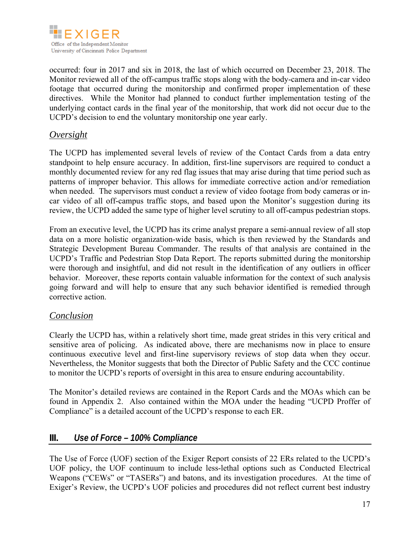

occurred: four in 2017 and six in 2018, the last of which occurred on December 23, 2018. The Monitor reviewed all of the off-campus traffic stops along with the body-camera and in-car video footage that occurred during the monitorship and confirmed proper implementation of these directives. While the Monitor had planned to conduct further implementation testing of the underlying contact cards in the final year of the monitorship, that work did not occur due to the UCPD's decision to end the voluntary monitorship one year early.

#### *Oversight*

The UCPD has implemented several levels of review of the Contact Cards from a data entry standpoint to help ensure accuracy. In addition, first-line supervisors are required to conduct a monthly documented review for any red flag issues that may arise during that time period such as patterns of improper behavior. This allows for immediate corrective action and/or remediation when needed. The supervisors must conduct a review of video footage from body cameras or incar video of all off-campus traffic stops, and based upon the Monitor's suggestion during its review, the UCPD added the same type of higher level scrutiny to all off-campus pedestrian stops.

From an executive level, the UCPD has its crime analyst prepare a semi-annual review of all stop data on a more holistic organization-wide basis, which is then reviewed by the Standards and Strategic Development Bureau Commander. The results of that analysis are contained in the UCPD's Traffic and Pedestrian Stop Data Report. The reports submitted during the monitorship were thorough and insightful, and did not result in the identification of any outliers in officer behavior. Moreover, these reports contain valuable information for the context of such analysis going forward and will help to ensure that any such behavior identified is remedied through corrective action.

#### *Conclusion*

Clearly the UCPD has, within a relatively short time, made great strides in this very critical and sensitive area of policing. As indicated above, there are mechanisms now in place to ensure continuous executive level and first-line supervisory reviews of stop data when they occur. Nevertheless, the Monitor suggests that both the Director of Public Safety and the CCC continue to monitor the UCPD's reports of oversight in this area to ensure enduring accountability.

The Monitor's detailed reviews are contained in the Report Cards and the MOAs which can be found in Appendix 2. Also contained within the MOA under the heading "UCPD Proffer of Compliance" is a detailed account of the UCPD's response to each ER.

## **III.** *Use of Force – 100% Compliance*

The Use of Force (UOF) section of the Exiger Report consists of 22 ERs related to the UCPD's UOF policy, the UOF continuum to include less-lethal options such as Conducted Electrical Weapons ("CEWs" or "TASERs") and batons, and its investigation procedures. At the time of Exiger's Review, the UCPD's UOF policies and procedures did not reflect current best industry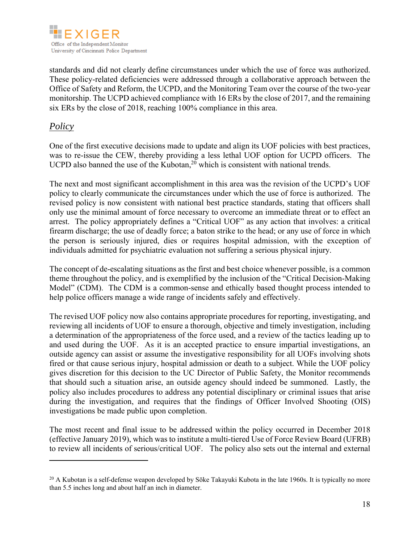

standards and did not clearly define circumstances under which the use of force was authorized. These policy-related deficiencies were addressed through a collaborative approach between the Office of Safety and Reform, the UCPD, and the Monitoring Team over the course of the two-year monitorship. The UCPD achieved compliance with 16 ERs by the close of 2017, and the remaining six ERs by the close of 2018, reaching 100% compliance in this area.

## *Policy*

 $\overline{a}$ 

One of the first executive decisions made to update and align its UOF policies with best practices, was to re-issue the CEW, thereby providing a less lethal UOF option for UCPD officers. The UCPD also banned the use of the Kubotan,<sup>20</sup> which is consistent with national trends.

The next and most significant accomplishment in this area was the revision of the UCPD's UOF policy to clearly communicate the circumstances under which the use of force is authorized. The revised policy is now consistent with national best practice standards, stating that officers shall only use the minimal amount of force necessary to overcome an immediate threat or to effect an arrest. The policy appropriately defines a "Critical UOF" as any action that involves: a critical firearm discharge; the use of deadly force; a baton strike to the head; or any use of force in which the person is seriously injured, dies or requires hospital admission, with the exception of individuals admitted for psychiatric evaluation not suffering a serious physical injury.

The concept of de-escalating situations as the first and best choice whenever possible, is a common theme throughout the policy, and is exemplified by the inclusion of the "Critical Decision-Making Model" (CDM). The CDM is a common-sense and ethically based thought process intended to help police officers manage a wide range of incidents safely and effectively.

The revised UOF policy now also contains appropriate procedures for reporting, investigating, and reviewing all incidents of UOF to ensure a thorough, objective and timely investigation, including a determination of the appropriateness of the force used, and a review of the tactics leading up to and used during the UOF. As it is an accepted practice to ensure impartial investigations, an outside agency can assist or assume the investigative responsibility for all UOFs involving shots fired or that cause serious injury, hospital admission or death to a subject. While the UOF policy gives discretion for this decision to the UC Director of Public Safety, the Monitor recommends that should such a situation arise, an outside agency should indeed be summoned. Lastly, the policy also includes procedures to address any potential disciplinary or criminal issues that arise during the investigation, and requires that the findings of Officer Involved Shooting (OIS) investigations be made public upon completion.

The most recent and final issue to be addressed within the policy occurred in December 2018 (effective January 2019), which was to institute a multi-tiered Use of Force Review Board (UFRB) to review all incidents of serious/critical UOF. The policy also sets out the internal and external

<sup>&</sup>lt;sup>20</sup> A Kubotan is a self-defense weapon developed by Sōke Takayuki Kubota in the late 1960s. It is typically no more than 5.5 inches long and about half an inch in diameter.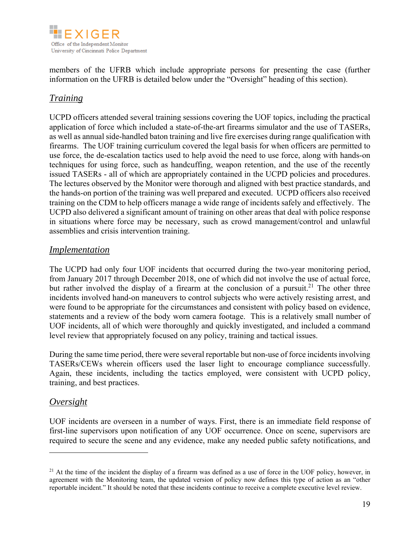

members of the UFRB which include appropriate persons for presenting the case (further information on the UFRB is detailed below under the "Oversight" heading of this section).

## *Training*

UCPD officers attended several training sessions covering the UOF topics, including the practical application of force which included a state-of-the-art firearms simulator and the use of TASERs, as well as annual side-handled baton training and live fire exercises during range qualification with firearms. The UOF training curriculum covered the legal basis for when officers are permitted to use force, the de-escalation tactics used to help avoid the need to use force, along with hands-on techniques for using force, such as handcuffing, weapon retention, and the use of the recently issued TASERs - all of which are appropriately contained in the UCPD policies and procedures. The lectures observed by the Monitor were thorough and aligned with best practice standards, and the hands-on portion of the training was well prepared and executed. UCPD officers also received training on the CDM to help officers manage a wide range of incidents safely and effectively. The UCPD also delivered a significant amount of training on other areas that deal with police response in situations where force may be necessary, such as crowd management/control and unlawful assemblies and crisis intervention training.

### *Implementation*

The UCPD had only four UOF incidents that occurred during the two-year monitoring period, from January 2017 through December 2018, one of which did not involve the use of actual force, but rather involved the display of a firearm at the conclusion of a pursuit.<sup>21</sup> The other three incidents involved hand-on maneuvers to control subjects who were actively resisting arrest, and were found to be appropriate for the circumstances and consistent with policy based on evidence, statements and a review of the body worn camera footage. This is a relatively small number of UOF incidents, all of which were thoroughly and quickly investigated, and included a command level review that appropriately focused on any policy, training and tactical issues.

During the same time period, there were several reportable but non-use of force incidents involving TASERs/CEWs wherein officers used the laser light to encourage compliance successfully. Again, these incidents, including the tactics employed, were consistent with UCPD policy, training, and best practices.

#### *Oversight*

 $\overline{a}$ 

UOF incidents are overseen in a number of ways. First, there is an immediate field response of first-line supervisors upon notification of any UOF occurrence. Once on scene, supervisors are required to secure the scene and any evidence, make any needed public safety notifications, and

<sup>&</sup>lt;sup>21</sup> At the time of the incident the display of a firearm was defined as a use of force in the UOF policy, however, in agreement with the Monitoring team, the updated version of policy now defines this type of action as an "other reportable incident." It should be noted that these incidents continue to receive a complete executive level review.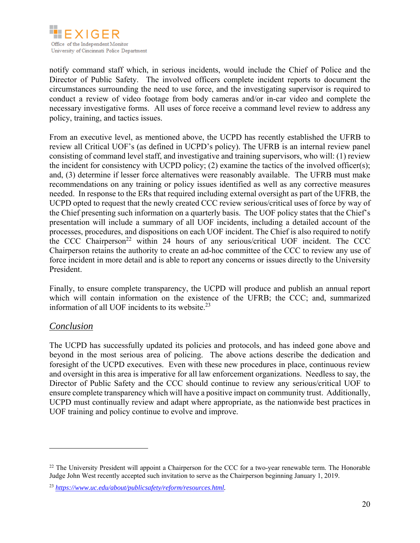

notify command staff which, in serious incidents, would include the Chief of Police and the Director of Public Safety. The involved officers complete incident reports to document the circumstances surrounding the need to use force, and the investigating supervisor is required to conduct a review of video footage from body cameras and/or in-car video and complete the necessary investigative forms. All uses of force receive a command level review to address any policy, training, and tactics issues.

From an executive level, as mentioned above, the UCPD has recently established the UFRB to review all Critical UOF's (as defined in UCPD's policy). The UFRB is an internal review panel consisting of command level staff, and investigative and training supervisors, who will: (1) review the incident for consistency with UCPD policy; (2) examine the tactics of the involved officer(s); and, (3) determine if lesser force alternatives were reasonably available. The UFRB must make recommendations on any training or policy issues identified as well as any corrective measures needed. In response to the ERs that required including external oversight as part of the UFRB, the UCPD opted to request that the newly created CCC review serious/critical uses of force by way of the Chief presenting such information on a quarterly basis. The UOF policy states that the Chief's presentation will include a summary of all UOF incidents, including a detailed account of the processes, procedures, and dispositions on each UOF incident. The Chief is also required to notify the CCC Chairperson<sup>22</sup> within 24 hours of any serious/critical UOF incident. The CCC Chairperson retains the authority to create an ad-hoc committee of the CCC to review any use of force incident in more detail and is able to report any concerns or issues directly to the University President.

Finally, to ensure complete transparency, the UCPD will produce and publish an annual report which will contain information on the existence of the UFRB; the CCC; and, summarized information of all UOF incidents to its website. $^{23}$ 

### *Conclusion*

 $\overline{a}$ 

The UCPD has successfully updated its policies and protocols, and has indeed gone above and beyond in the most serious area of policing. The above actions describe the dedication and foresight of the UCPD executives. Even with these new procedures in place, continuous review and oversight in this area is imperative for all law enforcement organizations. Needless to say, the Director of Public Safety and the CCC should continue to review any serious/critical UOF to ensure complete transparency which will have a positive impact on community trust. Additionally, UCPD must continually review and adapt where appropriate, as the nationwide best practices in UOF training and policy continue to evolve and improve.

<sup>&</sup>lt;sup>22</sup> The University President will appoint a Chairperson for the CCC for a two-year renewable term. The Honorable Judge John West recently accepted such invitation to serve as the Chairperson beginning January 1, 2019.

<sup>23</sup> *https://www.uc.edu/about/publicsafety/reform/resources.html.*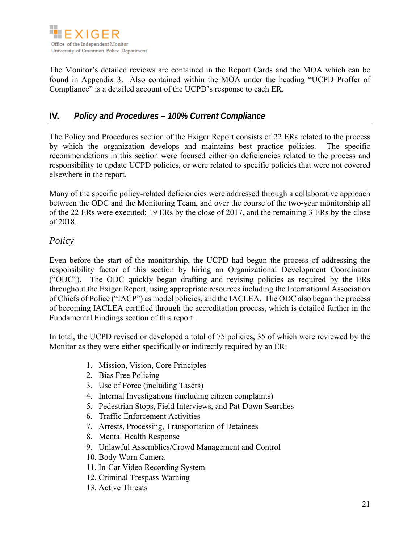

The Monitor's detailed reviews are contained in the Report Cards and the MOA which can be found in Appendix 3. Also contained within the MOA under the heading "UCPD Proffer of Compliance" is a detailed account of the UCPD's response to each ER.

# **IV.** *Policy and Procedures – 100% Current Compliance*

The Policy and Procedures section of the Exiger Report consists of 22 ERs related to the process by which the organization develops and maintains best practice policies. The specific recommendations in this section were focused either on deficiencies related to the process and responsibility to update UCPD policies, or were related to specific policies that were not covered elsewhere in the report.

Many of the specific policy-related deficiencies were addressed through a collaborative approach between the ODC and the Monitoring Team, and over the course of the two-year monitorship all of the 22 ERs were executed; 19 ERs by the close of 2017, and the remaining 3 ERs by the close of 2018.

## *Policy*

Even before the start of the monitorship, the UCPD had begun the process of addressing the responsibility factor of this section by hiring an Organizational Development Coordinator ("ODC"). The ODC quickly began drafting and revising policies as required by the ERs throughout the Exiger Report, using appropriate resources including the International Association of Chiefs of Police ("IACP") as model policies, and the IACLEA. The ODC also began the process of becoming IACLEA certified through the accreditation process, which is detailed further in the Fundamental Findings section of this report.

In total, the UCPD revised or developed a total of 75 policies, 35 of which were reviewed by the Monitor as they were either specifically or indirectly required by an ER:

- 1. Mission, Vision, Core Principles
- 2. Bias Free Policing
- 3. Use of Force (including Tasers)
- 4. Internal Investigations (including citizen complaints)
- 5. Pedestrian Stops, Field Interviews, and Pat-Down Searches
- 6. Traffic Enforcement Activities
- 7. Arrests, Processing, Transportation of Detainees
- 8. Mental Health Response
- 9. Unlawful Assemblies/Crowd Management and Control
- 10. Body Worn Camera
- 11. In-Car Video Recording System
- 12. Criminal Trespass Warning
- 13. Active Threats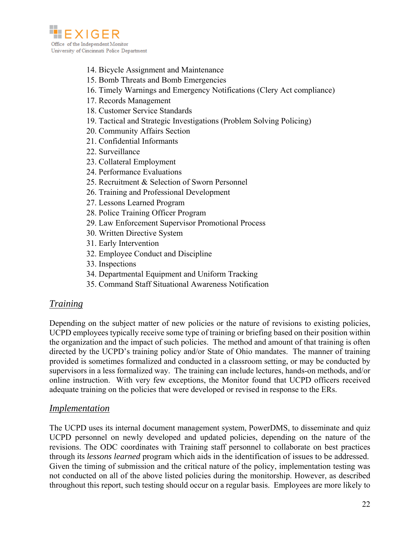

- 14. Bicycle Assignment and Maintenance
- 15. Bomb Threats and Bomb Emergencies
- 16. Timely Warnings and Emergency Notifications (Clery Act compliance)
- 17. Records Management
- 18. Customer Service Standards
- 19. Tactical and Strategic Investigations (Problem Solving Policing)
- 20. Community Affairs Section
- 21. Confidential Informants
- 22. Surveillance
- 23. Collateral Employment
- 24. Performance Evaluations
- 25. Recruitment & Selection of Sworn Personnel
- 26. Training and Professional Development
- 27. Lessons Learned Program
- 28. Police Training Officer Program
- 29. Law Enforcement Supervisor Promotional Process
- 30. Written Directive System
- 31. Early Intervention
- 32. Employee Conduct and Discipline
- 33. Inspections
- 34. Departmental Equipment and Uniform Tracking
- 35. Command Staff Situational Awareness Notification

#### *Training*

Depending on the subject matter of new policies or the nature of revisions to existing policies, UCPD employees typically receive some type of training or briefing based on their position within the organization and the impact of such policies. The method and amount of that training is often directed by the UCPD's training policy and/or State of Ohio mandates. The manner of training provided is sometimes formalized and conducted in a classroom setting, or may be conducted by supervisors in a less formalized way. The training can include lectures, hands-on methods, and/or online instruction. With very few exceptions, the Monitor found that UCPD officers received adequate training on the policies that were developed or revised in response to the ERs.

#### *Implementation*

The UCPD uses its internal document management system, PowerDMS, to disseminate and quiz UCPD personnel on newly developed and updated policies, depending on the nature of the revisions. The ODC coordinates with Training staff personnel to collaborate on best practices through its *lessons learned* program which aids in the identification of issues to be addressed. Given the timing of submission and the critical nature of the policy, implementation testing was not conducted on all of the above listed policies during the monitorship. However, as described throughout this report, such testing should occur on a regular basis. Employees are more likely to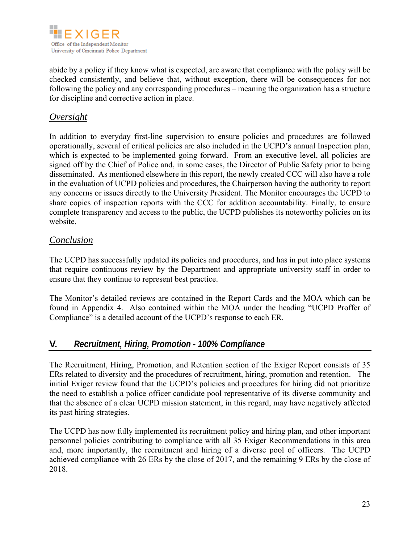

abide by a policy if they know what is expected, are aware that compliance with the policy will be checked consistently, and believe that, without exception, there will be consequences for not following the policy and any corresponding procedures – meaning the organization has a structure for discipline and corrective action in place.

## *Oversight*

In addition to everyday first-line supervision to ensure policies and procedures are followed operationally, several of critical policies are also included in the UCPD's annual Inspection plan, which is expected to be implemented going forward. From an executive level, all policies are signed off by the Chief of Police and, in some cases, the Director of Public Safety prior to being disseminated. As mentioned elsewhere in this report, the newly created CCC will also have a role in the evaluation of UCPD policies and procedures, the Chairperson having the authority to report any concerns or issues directly to the University President. The Monitor encourages the UCPD to share copies of inspection reports with the CCC for addition accountability. Finally, to ensure complete transparency and access to the public, the UCPD publishes its noteworthy policies on its website.

### *Conclusion*

The UCPD has successfully updated its policies and procedures, and has in put into place systems that require continuous review by the Department and appropriate university staff in order to ensure that they continue to represent best practice.

The Monitor's detailed reviews are contained in the Report Cards and the MOA which can be found in Appendix 4. Also contained within the MOA under the heading "UCPD Proffer of Compliance" is a detailed account of the UCPD's response to each ER.

### **V.** *Recruitment, Hiring, Promotion - 100% Compliance*

The Recruitment, Hiring, Promotion, and Retention section of the Exiger Report consists of 35 ERs related to diversity and the procedures of recruitment, hiring, promotion and retention. The initial Exiger review found that the UCPD's policies and procedures for hiring did not prioritize the need to establish a police officer candidate pool representative of its diverse community and that the absence of a clear UCPD mission statement, in this regard, may have negatively affected its past hiring strategies.

The UCPD has now fully implemented its recruitment policy and hiring plan, and other important personnel policies contributing to compliance with all 35 Exiger Recommendations in this area and, more importantly, the recruitment and hiring of a diverse pool of officers. The UCPD achieved compliance with 26 ERs by the close of 2017, and the remaining 9 ERs by the close of 2018.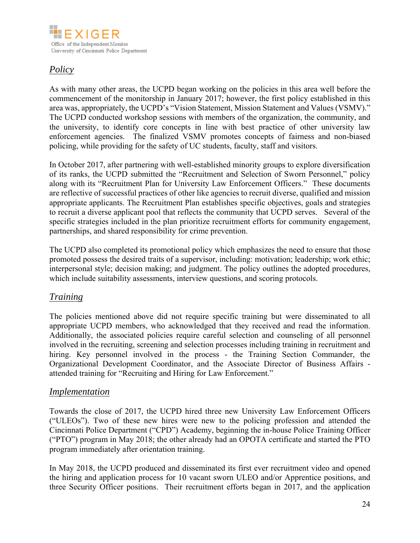

# *Policy*

As with many other areas, the UCPD began working on the policies in this area well before the commencement of the monitorship in January 2017; however, the first policy established in this area was, appropriately, the UCPD's "Vision Statement, Mission Statement and Values (VSMV)." The UCPD conducted workshop sessions with members of the organization, the community, and the university, to identify core concepts in line with best practice of other university law enforcement agencies. The finalized VSMV promotes concepts of fairness and non-biased policing, while providing for the safety of UC students, faculty, staff and visitors.

In October 2017, after partnering with well-established minority groups to explore diversification of its ranks, the UCPD submitted the "Recruitment and Selection of Sworn Personnel," policy along with its "Recruitment Plan for University Law Enforcement Officers." These documents are reflective of successful practices of other like agencies to recruit diverse, qualified and mission appropriate applicants. The Recruitment Plan establishes specific objectives, goals and strategies to recruit a diverse applicant pool that reflects the community that UCPD serves. Several of the specific strategies included in the plan prioritize recruitment efforts for community engagement, partnerships, and shared responsibility for crime prevention.

The UCPD also completed its promotional policy which emphasizes the need to ensure that those promoted possess the desired traits of a supervisor, including: motivation; leadership; work ethic; interpersonal style; decision making; and judgment. The policy outlines the adopted procedures, which include suitability assessments, interview questions, and scoring protocols.

## *Training*

The policies mentioned above did not require specific training but were disseminated to all appropriate UCPD members, who acknowledged that they received and read the information. Additionally, the associated policies require careful selection and counseling of all personnel involved in the recruiting, screening and selection processes including training in recruitment and hiring. Key personnel involved in the process - the Training Section Commander, the Organizational Development Coordinator, and the Associate Director of Business Affairs attended training for "Recruiting and Hiring for Law Enforcement."

### *Implementation*

Towards the close of 2017, the UCPD hired three new University Law Enforcement Officers ("ULEOs"). Two of these new hires were new to the policing profession and attended the Cincinnati Police Department ("CPD") Academy, beginning the in-house Police Training Officer ("PTO") program in May 2018; the other already had an OPOTA certificate and started the PTO program immediately after orientation training.

In May 2018, the UCPD produced and disseminated its first ever recruitment video and opened the hiring and application process for 10 vacant sworn ULEO and/or Apprentice positions, and three Security Officer positions. Their recruitment efforts began in 2017, and the application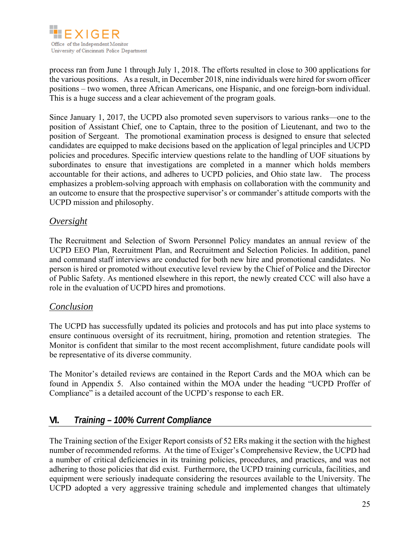

process ran from June 1 through July 1, 2018. The efforts resulted in close to 300 applications for the various positions. As a result, in December 2018, nine individuals were hired for sworn officer positions – two women, three African Americans, one Hispanic, and one foreign-born individual. This is a huge success and a clear achievement of the program goals.

Since January 1, 2017, the UCPD also promoted seven supervisors to various ranks—one to the position of Assistant Chief, one to Captain, three to the position of Lieutenant, and two to the position of Sergeant. The promotional examination process is designed to ensure that selected candidates are equipped to make decisions based on the application of legal principles and UCPD policies and procedures. Specific interview questions relate to the handling of UOF situations by subordinates to ensure that investigations are completed in a manner which holds members accountable for their actions, and adheres to UCPD policies, and Ohio state law. The process emphasizes a problem-solving approach with emphasis on collaboration with the community and an outcome to ensure that the prospective supervisor's or commander's attitude comports with the UCPD mission and philosophy.

## *Oversight*

The Recruitment and Selection of Sworn Personnel Policy mandates an annual review of the UCPD EEO Plan, Recruitment Plan, and Recruitment and Selection Policies. In addition, panel and command staff interviews are conducted for both new hire and promotional candidates. No person is hired or promoted without executive level review by the Chief of Police and the Director of Public Safety. As mentioned elsewhere in this report, the newly created CCC will also have a role in the evaluation of UCPD hires and promotions.

### *Conclusion*

The UCPD has successfully updated its policies and protocols and has put into place systems to ensure continuous oversight of its recruitment, hiring, promotion and retention strategies. The Monitor is confident that similar to the most recent accomplishment, future candidate pools will be representative of its diverse community.

The Monitor's detailed reviews are contained in the Report Cards and the MOA which can be found in Appendix 5. Also contained within the MOA under the heading "UCPD Proffer of Compliance" is a detailed account of the UCPD's response to each ER.

## **VI.** *Training – 100% Current Compliance*

The Training section of the Exiger Report consists of 52 ERs making it the section with the highest number of recommended reforms. At the time of Exiger's Comprehensive Review, the UCPD had a number of critical deficiencies in its training policies, procedures, and practices, and was not adhering to those policies that did exist. Furthermore, the UCPD training curricula, facilities, and equipment were seriously inadequate considering the resources available to the University. The UCPD adopted a very aggressive training schedule and implemented changes that ultimately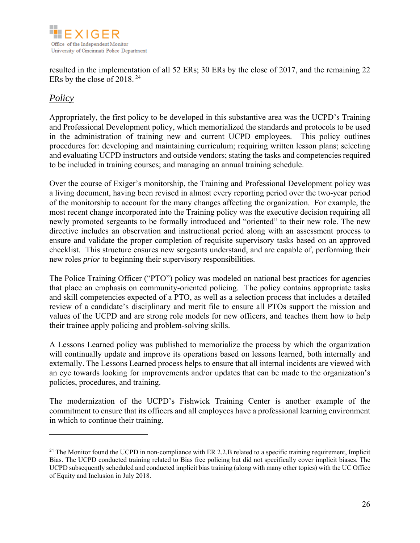

resulted in the implementation of all 52 ERs; 30 ERs by the close of 2017, and the remaining 22 ERs by the close of 2018. 24

## *Policy*

 $\overline{a}$ 

Appropriately, the first policy to be developed in this substantive area was the UCPD's Training and Professional Development policy, which memorialized the standards and protocols to be used in the administration of training new and current UCPD employees. This policy outlines procedures for: developing and maintaining curriculum; requiring written lesson plans; selecting and evaluating UCPD instructors and outside vendors; stating the tasks and competencies required to be included in training courses; and managing an annual training schedule.

Over the course of Exiger's monitorship, the Training and Professional Development policy was a living document, having been revised in almost every reporting period over the two-year period of the monitorship to account for the many changes affecting the organization. For example, the most recent change incorporated into the Training policy was the executive decision requiring all newly promoted sergeants to be formally introduced and "oriented" to their new role. The new directive includes an observation and instructional period along with an assessment process to ensure and validate the proper completion of requisite supervisory tasks based on an approved checklist. This structure ensures new sergeants understand, and are capable of, performing their new roles *prior* to beginning their supervisory responsibilities.

The Police Training Officer ("PTO") policy was modeled on national best practices for agencies that place an emphasis on community-oriented policing. The policy contains appropriate tasks and skill competencies expected of a PTO, as well as a selection process that includes a detailed review of a candidate's disciplinary and merit file to ensure all PTOs support the mission and values of the UCPD and are strong role models for new officers, and teaches them how to help their trainee apply policing and problem-solving skills.

A Lessons Learned policy was published to memorialize the process by which the organization will continually update and improve its operations based on lessons learned, both internally and externally. The Lessons Learned process helps to ensure that all internal incidents are viewed with an eye towards looking for improvements and/or updates that can be made to the organization's policies, procedures, and training.

The modernization of the UCPD's Fishwick Training Center is another example of the commitment to ensure that its officers and all employees have a professional learning environment in which to continue their training.

 $24$  The Monitor found the UCPD in non-compliance with ER 2.2.B related to a specific training requirement, Implicit Bias. The UCPD conducted training related to Bias free policing but did not specifically cover implicit biases. The UCPD subsequently scheduled and conducted implicit bias training (along with many other topics) with the UC Office of Equity and Inclusion in July 2018.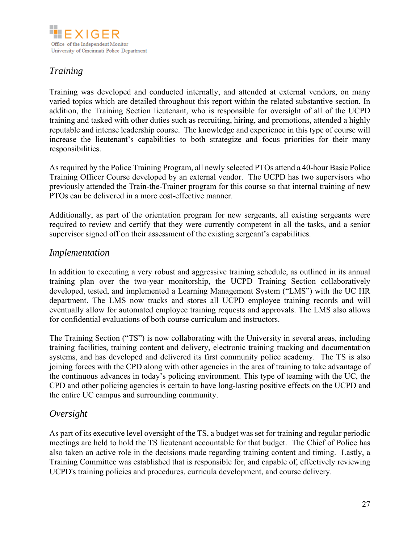

## *Training*

Training was developed and conducted internally, and attended at external vendors, on many varied topics which are detailed throughout this report within the related substantive section. In addition, the Training Section lieutenant, who is responsible for oversight of all of the UCPD training and tasked with other duties such as recruiting, hiring, and promotions, attended a highly reputable and intense leadership course. The knowledge and experience in this type of course will increase the lieutenant's capabilities to both strategize and focus priorities for their many responsibilities.

As required by the Police Training Program, all newly selected PTOs attend a 40-hour Basic Police Training Officer Course developed by an external vendor. The UCPD has two supervisors who previously attended the Train-the-Trainer program for this course so that internal training of new PTOs can be delivered in a more cost-effective manner.

Additionally, as part of the orientation program for new sergeants, all existing sergeants were required to review and certify that they were currently competent in all the tasks, and a senior supervisor signed off on their assessment of the existing sergeant's capabilities.

#### *Implementation*

In addition to executing a very robust and aggressive training schedule, as outlined in its annual training plan over the two-year monitorship, the UCPD Training Section collaboratively developed, tested, and implemented a Learning Management System ("LMS") with the UC HR department. The LMS now tracks and stores all UCPD employee training records and will eventually allow for automated employee training requests and approvals. The LMS also allows for confidential evaluations of both course curriculum and instructors.

The Training Section ("TS") is now collaborating with the University in several areas, including training facilities, training content and delivery, electronic training tracking and documentation systems, and has developed and delivered its first community police academy. The TS is also joining forces with the CPD along with other agencies in the area of training to take advantage of the continuous advances in today's policing environment. This type of teaming with the UC, the CPD and other policing agencies is certain to have long-lasting positive effects on the UCPD and the entire UC campus and surrounding community.

### *Oversight*

As part of its executive level oversight of the TS, a budget was set for training and regular periodic meetings are held to hold the TS lieutenant accountable for that budget. The Chief of Police has also taken an active role in the decisions made regarding training content and timing. Lastly, a Training Committee was established that is responsible for, and capable of, effectively reviewing UCPD's training policies and procedures, curricula development, and course delivery.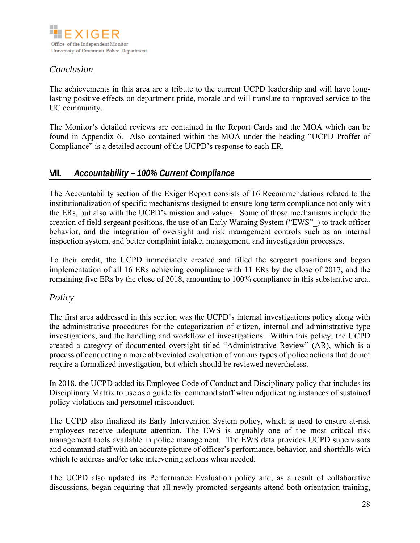

## *Conclusion*

The achievements in this area are a tribute to the current UCPD leadership and will have longlasting positive effects on department pride, morale and will translate to improved service to the UC community.

The Monitor's detailed reviews are contained in the Report Cards and the MOA which can be found in Appendix 6. Also contained within the MOA under the heading "UCPD Proffer of Compliance" is a detailed account of the UCPD's response to each ER.

## **VII.** *Accountability – 100% Current Compliance*

The Accountability section of the Exiger Report consists of 16 Recommendations related to the institutionalization of specific mechanisms designed to ensure long term compliance not only with the ERs, but also with the UCPD's mission and values. Some of those mechanisms include the creation of field sergeant positions, the use of an Early Warning System ("EWS"\_) to track officer behavior, and the integration of oversight and risk management controls such as an internal inspection system, and better complaint intake, management, and investigation processes.

To their credit, the UCPD immediately created and filled the sergeant positions and began implementation of all 16 ERs achieving compliance with 11 ERs by the close of 2017, and the remaining five ERs by the close of 2018, amounting to 100% compliance in this substantive area.

### *Policy*

The first area addressed in this section was the UCPD's internal investigations policy along with the administrative procedures for the categorization of citizen, internal and administrative type investigations, and the handling and workflow of investigations. Within this policy, the UCPD created a category of documented oversight titled "Administrative Review" (AR), which is a process of conducting a more abbreviated evaluation of various types of police actions that do not require a formalized investigation, but which should be reviewed nevertheless.

In 2018, the UCPD added its Employee Code of Conduct and Disciplinary policy that includes its Disciplinary Matrix to use as a guide for command staff when adjudicating instances of sustained policy violations and personnel misconduct.

The UCPD also finalized its Early Intervention System policy, which is used to ensure at-risk employees receive adequate attention. The EWS is arguably one of the most critical risk management tools available in police management. The EWS data provides UCPD supervisors and command staff with an accurate picture of officer's performance, behavior, and shortfalls with which to address and/or take intervening actions when needed.

The UCPD also updated its Performance Evaluation policy and, as a result of collaborative discussions, began requiring that all newly promoted sergeants attend both orientation training,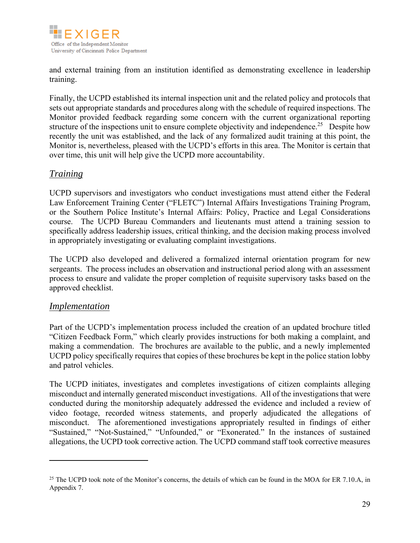

and external training from an institution identified as demonstrating excellence in leadership training.

Finally, the UCPD established its internal inspection unit and the related policy and protocols that sets out appropriate standards and procedures along with the schedule of required inspections. The Monitor provided feedback regarding some concern with the current organizational reporting structure of the inspections unit to ensure complete objectivity and independence.<sup>25</sup> Despite how recently the unit was established, and the lack of any formalized audit training at this point, the Monitor is, nevertheless, pleased with the UCPD's efforts in this area. The Monitor is certain that over time, this unit will help give the UCPD more accountability.

### *Training*

UCPD supervisors and investigators who conduct investigations must attend either the Federal Law Enforcement Training Center ("FLETC") Internal Affairs Investigations Training Program, or the Southern Police Institute's Internal Affairs: Policy, Practice and Legal Considerations course. The UCPD Bureau Commanders and lieutenants must attend a training session to specifically address leadership issues, critical thinking, and the decision making process involved in appropriately investigating or evaluating complaint investigations.

The UCPD also developed and delivered a formalized internal orientation program for new sergeants. The process includes an observation and instructional period along with an assessment process to ensure and validate the proper completion of requisite supervisory tasks based on the approved checklist.

#### *Implementation*

 $\overline{a}$ 

Part of the UCPD's implementation process included the creation of an updated brochure titled "Citizen Feedback Form," which clearly provides instructions for both making a complaint, and making a commendation. The brochures are available to the public, and a newly implemented UCPD policy specifically requires that copies of these brochures be kept in the police station lobby and patrol vehicles.

The UCPD initiates, investigates and completes investigations of citizen complaints alleging misconduct and internally generated misconduct investigations. All of the investigations that were conducted during the monitorship adequately addressed the evidence and included a review of video footage, recorded witness statements, and properly adjudicated the allegations of misconduct. The aforementioned investigations appropriately resulted in findings of either "Sustained," "Not-Sustained," "Unfounded," or "Exonerated." In the instances of sustained allegations, the UCPD took corrective action. The UCPD command staff took corrective measures

<sup>&</sup>lt;sup>25</sup> The UCPD took note of the Monitor's concerns, the details of which can be found in the MOA for ER 7.10.A, in Appendix 7.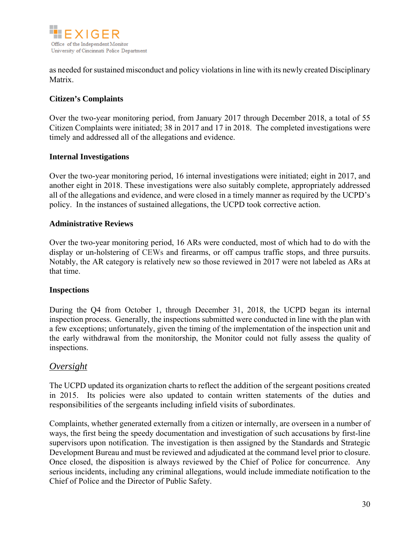

as needed for sustained misconduct and policy violations in line with its newly created Disciplinary Matrix.

#### **Citizen's Complaints**

Over the two-year monitoring period, from January 2017 through December 2018, a total of 55 Citizen Complaints were initiated; 38 in 2017 and 17 in 2018. The completed investigations were timely and addressed all of the allegations and evidence.

#### **Internal Investigations**

Over the two-year monitoring period, 16 internal investigations were initiated; eight in 2017, and another eight in 2018. These investigations were also suitably complete, appropriately addressed all of the allegations and evidence, and were closed in a timely manner as required by the UCPD's policy. In the instances of sustained allegations, the UCPD took corrective action.

#### **Administrative Reviews**

Over the two-year monitoring period, 16 ARs were conducted, most of which had to do with the display or un-holstering of CEWs and firearms, or off campus traffic stops, and three pursuits. Notably, the AR category is relatively new so those reviewed in 2017 were not labeled as ARs at that time.

#### **Inspections**

During the Q4 from October 1, through December 31, 2018, the UCPD began its internal inspection process. Generally, the inspections submitted were conducted in line with the plan with a few exceptions; unfortunately, given the timing of the implementation of the inspection unit and the early withdrawal from the monitorship, the Monitor could not fully assess the quality of inspections.

#### *Oversight*

The UCPD updated its organization charts to reflect the addition of the sergeant positions created in 2015. Its policies were also updated to contain written statements of the duties and responsibilities of the sergeants including infield visits of subordinates.

Complaints, whether generated externally from a citizen or internally, are overseen in a number of ways, the first being the speedy documentation and investigation of such accusations by first-line supervisors upon notification. The investigation is then assigned by the Standards and Strategic Development Bureau and must be reviewed and adjudicated at the command level prior to closure. Once closed, the disposition is always reviewed by the Chief of Police for concurrence. Any serious incidents, including any criminal allegations, would include immediate notification to the Chief of Police and the Director of Public Safety.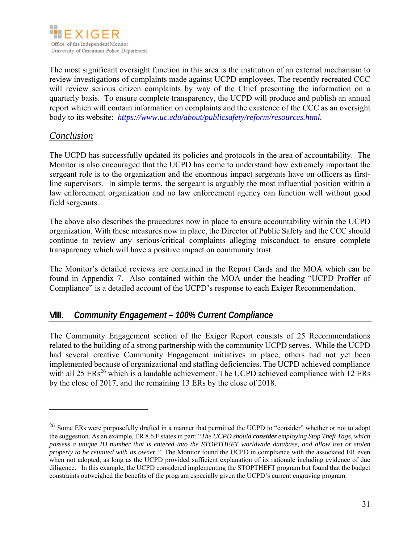

The most significant oversight function in this area is the institution of an external mechanism to review investigations of complaints made against UCPD employees. The recently recreated CCC will review serious citizen complaints by way of the Chief presenting the information on a quarterly basis. To ensure complete transparency, the UCPD will produce and publish an annual report which will contain information on complaints and the existence of the CCC as an oversight body to its website: *https://www.uc.edu/about/publicsafety/reform/resources.html.*

#### *Conclusion*

 $\overline{a}$ 

The UCPD has successfully updated its policies and protocols in the area of accountability. The Monitor is also encouraged that the UCPD has come to understand how extremely important the sergeant role is to the organization and the enormous impact sergeants have on officers as firstline supervisors. In simple terms, the sergeant is arguably the most influential position within a law enforcement organization and no law enforcement agency can function well without good field sergeants.

The above also describes the procedures now in place to ensure accountability within the UCPD organization. With these measures now in place, the Director of Public Safety and the CCC should continue to review any serious/critical complaints alleging misconduct to ensure complete transparency which will have a positive impact on community trust.

The Monitor's detailed reviews are contained in the Report Cards and the MOA which can be found in Appendix 7. Also contained within the MOA under the heading "UCPD Proffer of Compliance" is a detailed account of the UCPD's response to each Exiger Recommendation.

### **VIII.** *Community Engagement – 100% Current Compliance*

The Community Engagement section of the Exiger Report consists of 25 Recommendations related to the building of a strong partnership with the community UCPD serves. While the UCPD had several creative Community Engagement initiatives in place, others had not yet been implemented because of organizational and staffing deficiencies. The UCPD achieved compliance with all  $25 \text{ ERs}^{26}$  which is a laudable achievement. The UCPD achieved compliance with 12 ERs by the close of 2017, and the remaining 13 ERs by the close of 2018.

<sup>&</sup>lt;sup>26</sup> Some ERs were purposefully drafted in a manner that permitted the UCPD to "consider" whether or not to adopt the suggestion. As an example, ER 8.6.F states in part: "*The UCPD should consider employing Stop Theft Tags, which possess a unique ID number that is entered into the STOPTHEFT worldwide database, and allow lost or stolen property to be reunited with its owner.*" The Monitor found the UCPD in compliance with the associated ER even when not adopted, as long as the UCPD provided sufficient explanation of its rationale including evidence of due diligence. In this example, the UCPD considered implementing the STOPTHEFT program but found that the budget constraints outweighed the benefits of the program especially given the UCPD's current engraving program.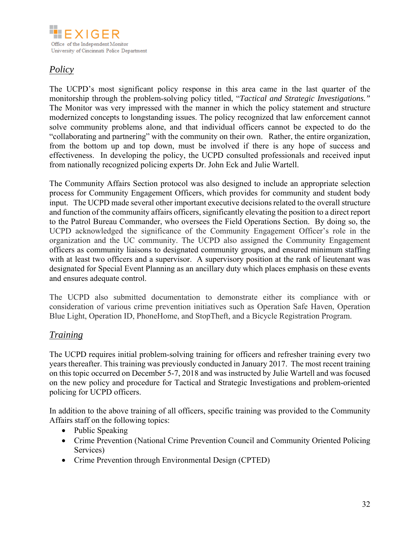

# *Policy*

The UCPD's most significant policy response in this area came in the last quarter of the monitorship through the problem-solving policy titled, "*Tactical and Strategic Investigations."*  The Monitor was very impressed with the manner in which the policy statement and structure modernized concepts to longstanding issues. The policy recognized that law enforcement cannot solve community problems alone, and that individual officers cannot be expected to do the "collaborating and partnering" with the community on their own. Rather, the entire organization, from the bottom up and top down, must be involved if there is any hope of success and effectiveness. In developing the policy, the UCPD consulted professionals and received input from nationally recognized policing experts Dr. John Eck and Julie Wartell.

The Community Affairs Section protocol was also designed to include an appropriate selection process for Community Engagement Officers, which provides for community and student body input. The UCPD made several other important executive decisions related to the overall structure and function of the community affairs officers, significantly elevating the position to a direct report to the Patrol Bureau Commander, who oversees the Field Operations Section. By doing so, the UCPD acknowledged the significance of the Community Engagement Officer's role in the organization and the UC community. The UCPD also assigned the Community Engagement officers as community liaisons to designated community groups, and ensured minimum staffing with at least two officers and a supervisor. A supervisory position at the rank of lieutenant was designated for Special Event Planning as an ancillary duty which places emphasis on these events and ensures adequate control.

The UCPD also submitted documentation to demonstrate either its compliance with or consideration of various crime prevention initiatives such as Operation Safe Haven, Operation Blue Light, Operation ID, PhoneHome, and StopTheft, and a Bicycle Registration Program.

## *Training*

The UCPD requires initial problem-solving training for officers and refresher training every two years thereafter. This training was previously conducted in January 2017. The most recent training on this topic occurred on December 5-7, 2018 and was instructed by Julie Wartell and was focused on the new policy and procedure for Tactical and Strategic Investigations and problem-oriented policing for UCPD officers.

In addition to the above training of all officers, specific training was provided to the Community Affairs staff on the following topics:

- Public Speaking
- Crime Prevention (National Crime Prevention Council and Community Oriented Policing Services)
- Crime Prevention through Environmental Design (CPTED)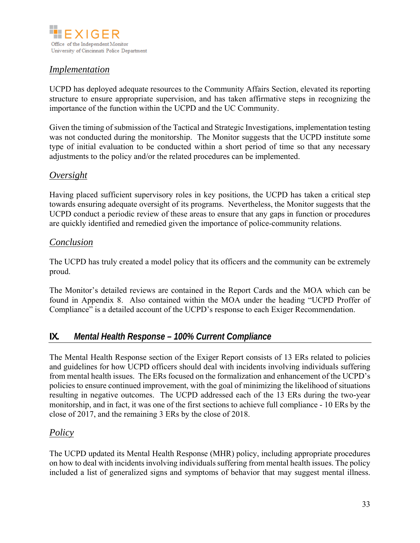

## *Implementation*

UCPD has deployed adequate resources to the Community Affairs Section, elevated its reporting structure to ensure appropriate supervision, and has taken affirmative steps in recognizing the importance of the function within the UCPD and the UC Community.

Given the timing of submission of the Tactical and Strategic Investigations, implementation testing was not conducted during the monitorship. The Monitor suggests that the UCPD institute some type of initial evaluation to be conducted within a short period of time so that any necessary adjustments to the policy and/or the related procedures can be implemented.

### *Oversight*

Having placed sufficient supervisory roles in key positions, the UCPD has taken a critical step towards ensuring adequate oversight of its programs. Nevertheless, the Monitor suggests that the UCPD conduct a periodic review of these areas to ensure that any gaps in function or procedures are quickly identified and remedied given the importance of police-community relations.

### *Conclusion*

The UCPD has truly created a model policy that its officers and the community can be extremely proud.

The Monitor's detailed reviews are contained in the Report Cards and the MOA which can be found in Appendix 8. Also contained within the MOA under the heading "UCPD Proffer of Compliance" is a detailed account of the UCPD's response to each Exiger Recommendation.

## **IX.** *Mental Health Response – 100% Current Compliance*

The Mental Health Response section of the Exiger Report consists of 13 ERs related to policies and guidelines for how UCPD officers should deal with incidents involving individuals suffering from mental health issues. The ERs focused on the formalization and enhancement of the UCPD's policies to ensure continued improvement, with the goal of minimizing the likelihood of situations resulting in negative outcomes. The UCPD addressed each of the 13 ERs during the two-year monitorship, and in fact, it was one of the first sections to achieve full compliance - 10 ERs by the close of 2017, and the remaining 3 ERs by the close of 2018.

## *Policy*

The UCPD updated its Mental Health Response (MHR) policy, including appropriate procedures on how to deal with incidents involving individuals suffering from mental health issues. The policy included a list of generalized signs and symptoms of behavior that may suggest mental illness.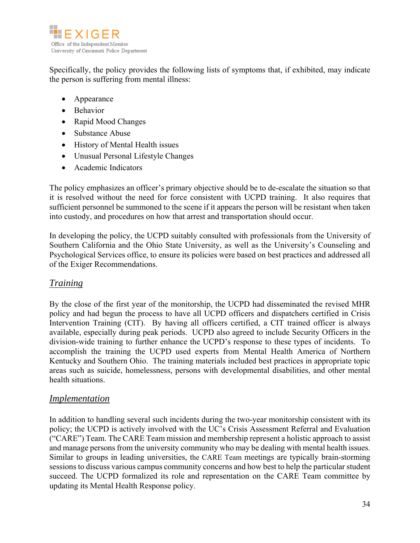

Specifically, the policy provides the following lists of symptoms that, if exhibited, may indicate the person is suffering from mental illness:

- Appearance
- Behavior
- Rapid Mood Changes
- Substance Abuse
- History of Mental Health issues
- Unusual Personal Lifestyle Changes
- Academic Indicators

The policy emphasizes an officer's primary objective should be to de-escalate the situation so that it is resolved without the need for force consistent with UCPD training. It also requires that sufficient personnel be summoned to the scene if it appears the person will be resistant when taken into custody, and procedures on how that arrest and transportation should occur.

In developing the policy, the UCPD suitably consulted with professionals from the University of Southern California and the Ohio State University, as well as the University's Counseling and Psychological Services office, to ensure its policies were based on best practices and addressed all of the Exiger Recommendations.

### *Training*

By the close of the first year of the monitorship, the UCPD had disseminated the revised MHR policy and had begun the process to have all UCPD officers and dispatchers certified in Crisis Intervention Training (CIT). By having all officers certified, a CIT trained officer is always available, especially during peak periods. UCPD also agreed to include Security Officers in the division-wide training to further enhance the UCPD's response to these types of incidents. To accomplish the training the UCPD used experts from Mental Health America of Northern Kentucky and Southern Ohio. The training materials included best practices in appropriate topic areas such as suicide, homelessness, persons with developmental disabilities, and other mental health situations.

### *Implementation*

In addition to handling several such incidents during the two-year monitorship consistent with its policy; the UCPD is actively involved with the UC's Crisis Assessment Referral and Evaluation ("CARE") Team. The CARE Team mission and membership represent a holistic approach to assist and manage persons from the university community who may be dealing with mental health issues. Similar to groups in leading universities, the CARE Team meetings are typically brain-storming sessions to discuss various campus community concerns and how best to help the particular student succeed. The UCPD formalized its role and representation on the CARE Team committee by updating its Mental Health Response policy.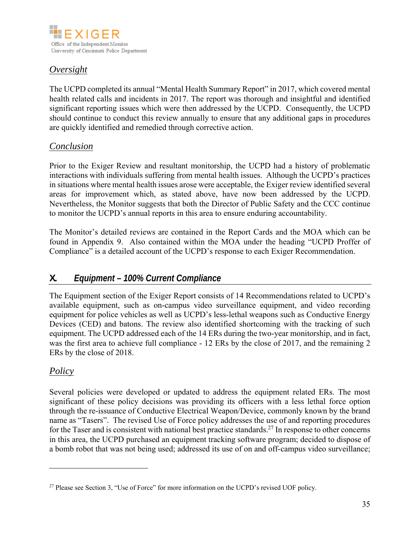

# *Oversight*

The UCPD completed its annual "Mental Health Summary Report" in 2017, which covered mental health related calls and incidents in 2017. The report was thorough and insightful and identified significant reporting issues which were then addressed by the UCPD. Consequently, the UCPD should continue to conduct this review annually to ensure that any additional gaps in procedures are quickly identified and remedied through corrective action.

## *Conclusion*

Prior to the Exiger Review and resultant monitorship, the UCPD had a history of problematic interactions with individuals suffering from mental health issues. Although the UCPD's practices in situations where mental health issues arose were acceptable, the Exiger review identified several areas for improvement which, as stated above, have now been addressed by the UCPD. Nevertheless, the Monitor suggests that both the Director of Public Safety and the CCC continue to monitor the UCPD's annual reports in this area to ensure enduring accountability.

The Monitor's detailed reviews are contained in the Report Cards and the MOA which can be found in Appendix 9. Also contained within the MOA under the heading "UCPD Proffer of Compliance" is a detailed account of the UCPD's response to each Exiger Recommendation.

# **X.** *Equipment – 100% Current Compliance*

The Equipment section of the Exiger Report consists of 14 Recommendations related to UCPD's available equipment, such as on-campus video surveillance equipment, and video recording equipment for police vehicles as well as UCPD's less-lethal weapons such as Conductive Energy Devices (CED) and batons. The review also identified shortcoming with the tracking of such equipment. The UCPD addressed each of the 14 ERs during the two-year monitorship, and in fact, was the first area to achieve full compliance - 12 ERs by the close of 2017, and the remaining 2 ERs by the close of 2018.

## *Policy*

 $\overline{a}$ 

Several policies were developed or updated to address the equipment related ERs. The most significant of these policy decisions was providing its officers with a less lethal force option through the re-issuance of Conductive Electrical Weapon/Device, commonly known by the brand name as "Tasers". The revised Use of Force policy addresses the use of and reporting procedures for the Taser and is consistent with national best practice standards.<sup>27</sup> In response to other concerns in this area, the UCPD purchased an equipment tracking software program; decided to dispose of a bomb robot that was not being used; addressed its use of on and off-campus video surveillance;

<sup>&</sup>lt;sup>27</sup> Please see Section 3, "Use of Force" for more information on the UCPD's revised UOF policy.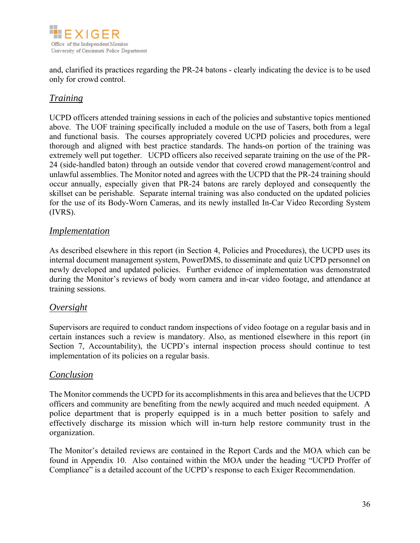

and, clarified its practices regarding the PR-24 batons - clearly indicating the device is to be used only for crowd control.

## *Training*

UCPD officers attended training sessions in each of the policies and substantive topics mentioned above. The UOF training specifically included a module on the use of Tasers, both from a legal and functional basis. The courses appropriately covered UCPD policies and procedures, were thorough and aligned with best practice standards. The hands-on portion of the training was extremely well put together. UCPD officers also received separate training on the use of the PR-24 (side-handled baton) through an outside vendor that covered crowd management/control and unlawful assemblies. The Monitor noted and agrees with the UCPD that the PR-24 training should occur annually, especially given that PR-24 batons are rarely deployed and consequently the skillset can be perishable. Separate internal training was also conducted on the updated policies for the use of its Body-Worn Cameras, and its newly installed In-Car Video Recording System (IVRS).

### *Implementation*

As described elsewhere in this report (in Section 4, Policies and Procedures), the UCPD uses its internal document management system, PowerDMS, to disseminate and quiz UCPD personnel on newly developed and updated policies. Further evidence of implementation was demonstrated during the Monitor's reviews of body worn camera and in-car video footage, and attendance at training sessions.

### *Oversight*

Supervisors are required to conduct random inspections of video footage on a regular basis and in certain instances such a review is mandatory. Also, as mentioned elsewhere in this report (in Section 7, Accountability), the UCPD's internal inspection process should continue to test implementation of its policies on a regular basis.

### *Conclusion*

The Monitor commends the UCPD for its accomplishments in this area and believes that the UCPD officers and community are benefiting from the newly acquired and much needed equipment. A police department that is properly equipped is in a much better position to safely and effectively discharge its mission which will in-turn help restore community trust in the organization.

The Monitor's detailed reviews are contained in the Report Cards and the MOA which can be found in Appendix 10. Also contained within the MOA under the heading "UCPD Proffer of Compliance" is a detailed account of the UCPD's response to each Exiger Recommendation.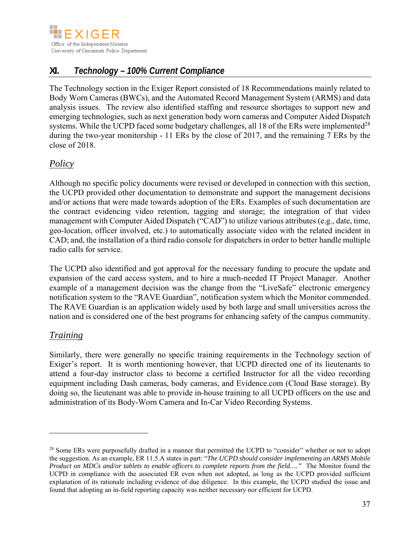

# **XI.** *Technology – 100% Current Compliance*

The Technology section in the Exiger Report consisted of 18 Recommendations mainly related to Body Worn Cameras (BWCs), and the Automated Record Management System (ARMS) and data analysis issues. The review also identified staffing and resource shortages to support new and emerging technologies, such as next generation body worn cameras and Computer Aided Dispatch systems. While the UCPD faced some budgetary challenges, all 18 of the ERs were implemented<sup>28</sup> during the two-year monitorship - 11 ERs by the close of 2017, and the remaining 7 ERs by the close of 2018.

## *Policy*

Although no specific policy documents were revised or developed in connection with this section, the UCPD provided other documentation to demonstrate and support the management decisions and/or actions that were made towards adoption of the ERs. Examples of such documentation are the contract evidencing video retention, tagging and storage; the integration of that video management with Computer Aided Dispatch ("CAD") to utilize various attributes (e.g., date, time, geo-location, officer involved, etc.) to automatically associate video with the related incident in CAD; and, the installation of a third radio console for dispatchers in order to better handle multiple radio calls for service.

The UCPD also identified and got approval for the necessary funding to procure the update and expansion of the card access system, and to hire a much-needed IT Project Manager. Another example of a management decision was the change from the "LiveSafe" electronic emergency notification system to the "RAVE Guardian", notification system which the Monitor commended. The RAVE Guardian is an application widely used by both large and small universities across the nation and is considered one of the best programs for enhancing safety of the campus community.

## *Training*

 $\overline{a}$ 

Similarly, there were generally no specific training requirements in the Technology section of Exiger's report. It is worth mentioning however, that UCPD directed one of its lieutenants to attend a four-day instructor class to become a certified Instructor for all the video recording equipment including Dash cameras, body cameras, and Evidence.com (Cloud Base storage). By doing so, the lieutenant was able to provide in-house training to all UCPD officers on the use and administration of its Body-Worn Camera and In-Car Video Recording Systems.

<sup>&</sup>lt;sup>28</sup> Some ERs were purposefully drafted in a manner that permitted the UCPD to "consider" whether or not to adopt the suggestion. As an example, ER 11.5.A states in part: "*The UCPD should consider implementing an ARMS Mobile Product on MDCs and/or tablets to enable officers to complete reports from the field…."* The Monitor found the UCPD in compliance with the associated ER even when not adopted, as long as the UCPD provided sufficient explanation of its rationale including evidence of due diligence. In this example, the UCPD studied the issue and found that adopting an in-field reporting capacity was neither necessary nor efficient for UCPD.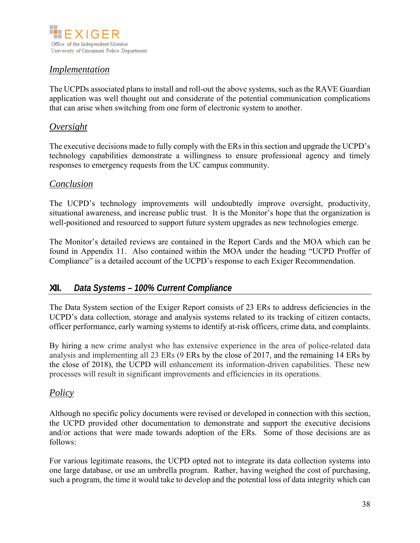

## *Implementation*

The UCPDs associated plans to install and roll-out the above systems, such as the RAVE Guardian application was well thought out and considerate of the potential communication complications that can arise when switching from one form of electronic system to another.

### *Oversight*

The executive decisions made to fully comply with the ERs in this section and upgrade the UCPD's technology capabilities demonstrate a willingness to ensure professional agency and timely responses to emergency requests from the UC campus community.

#### *Conclusion*

The UCPD's technology improvements will undoubtedly improve oversight, productivity, situational awareness, and increase public trust. It is the Monitor's hope that the organization is well-positioned and resourced to support future system upgrades as new technologies emerge.

The Monitor's detailed reviews are contained in the Report Cards and the MOA which can be found in Appendix 11. Also contained within the MOA under the heading "UCPD Proffer of Compliance" is a detailed account of the UCPD's response to each Exiger Recommendation.

### **XII.** *Data Systems – 100% Current Compliance*

The Data System section of the Exiger Report consists of 23 ERs to address deficiencies in the UCPD's data collection, storage and analysis systems related to its tracking of citizen contacts, officer performance, early warning systems to identify at-risk officers, crime data, and complaints.

By hiring a new crime analyst who has extensive experience in the area of police-related data analysis and implementing all 23 ERs (9 ERs by the close of 2017, and the remaining 14 ERs by the close of 2018), the UCPD will enhancement its information-driven capabilities. These new processes will result in significant improvements and efficiencies in its operations.

#### *Policy*

Although no specific policy documents were revised or developed in connection with this section, the UCPD provided other documentation to demonstrate and support the executive decisions and/or actions that were made towards adoption of the ERs. Some of those decisions are as follows:

For various legitimate reasons, the UCPD opted not to integrate its data collection systems into one large database, or use an umbrella program. Rather, having weighed the cost of purchasing, such a program, the time it would take to develop and the potential loss of data integrity which can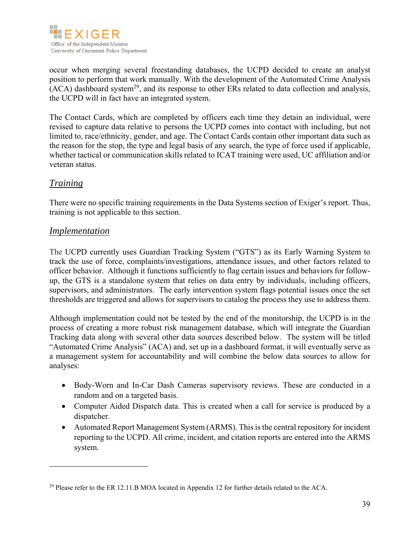

occur when merging several freestanding databases, the UCPD decided to create an analyst position to perform that work manually. With the development of the Automated Crime Analysis  $(ACA)$  dashboard system<sup>29</sup>, and its response to other ERs related to data collection and analysis, the UCPD will in fact have an integrated system.

The Contact Cards, which are completed by officers each time they detain an individual, were revised to capture data relative to persons the UCPD comes into contact with including, but not limited to, race/ethnicity, gender, and age. The Contact Cards contain other important data such as the reason for the stop, the type and legal basis of any search, the type of force used if applicable, whether tactical or communication skills related to ICAT training were used, UC affiliation and/or veteran status.

## *Training*

 $\overline{a}$ 

There were no specific training requirements in the Data Systems section of Exiger's report. Thus, training is not applicable to this section.

#### *Implementation*

The UCPD currently uses Guardian Tracking System ("GTS") as its Early Warning System to track the use of force, complaints/investigations, attendance issues, and other factors related to officer behavior. Although it functions sufficiently to flag certain issues and behaviors for followup, the GTS is a standalone system that relies on data entry by individuals, including officers, supervisors, and administrators. The early intervention system flags potential issues once the set thresholds are triggered and allows for supervisors to catalog the process they use to address them.

Although implementation could not be tested by the end of the monitorship, the UCPD is in the process of creating a more robust risk management database, which will integrate the Guardian Tracking data along with several other data sources described below. The system will be titled "Automated Crime Analysis" (ACA) and, set up in a dashboard format, it will eventually serve as a management system for accountability and will combine the below data sources to allow for analyses:

- Body-Worn and In-Car Dash Cameras supervisory reviews. These are conducted in a random and on a targeted basis.
- Computer Aided Dispatch data. This is created when a call for service is produced by a dispatcher.
- Automated Report Management System (ARMS). This is the central repository for incident reporting to the UCPD. All crime, incident, and citation reports are entered into the ARMS system.

<sup>&</sup>lt;sup>29</sup> Please refer to the ER 12.11.B MOA located in Appendix 12 for further details related to the ACA.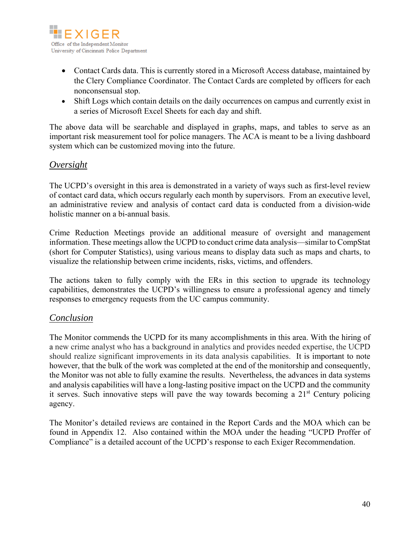

- Contact Cards data. This is currently stored in a Microsoft Access database, maintained by the Clery Compliance Coordinator. The Contact Cards are completed by officers for each nonconsensual stop.
- Shift Logs which contain details on the daily occurrences on campus and currently exist in a series of Microsoft Excel Sheets for each day and shift.

The above data will be searchable and displayed in graphs, maps, and tables to serve as an important risk measurement tool for police managers. The ACA is meant to be a living dashboard system which can be customized moving into the future.

## *Oversight*

The UCPD's oversight in this area is demonstrated in a variety of ways such as first-level review of contact card data, which occurs regularly each month by supervisors. From an executive level, an administrative review and analysis of contact card data is conducted from a division-wide holistic manner on a bi-annual basis.

Crime Reduction Meetings provide an additional measure of oversight and management information. These meetings allow the UCPD to conduct crime data analysis—similar to CompStat (short for Computer Statistics), using various means to display data such as maps and charts, to visualize the relationship between crime incidents, risks, victims, and offenders.

The actions taken to fully comply with the ERs in this section to upgrade its technology capabilities, demonstrates the UCPD's willingness to ensure a professional agency and timely responses to emergency requests from the UC campus community.

### *Conclusion*

The Monitor commends the UCPD for its many accomplishments in this area. With the hiring of a new crime analyst who has a background in analytics and provides needed expertise, the UCPD should realize significant improvements in its data analysis capabilities. It is important to note however, that the bulk of the work was completed at the end of the monitorship and consequently, the Monitor was not able to fully examine the results. Nevertheless, the advances in data systems and analysis capabilities will have a long-lasting positive impact on the UCPD and the community it serves. Such innovative steps will pave the way towards becoming a  $21<sup>st</sup>$  Century policing agency.

The Monitor's detailed reviews are contained in the Report Cards and the MOA which can be found in Appendix 12. Also contained within the MOA under the heading "UCPD Proffer of Compliance" is a detailed account of the UCPD's response to each Exiger Recommendation.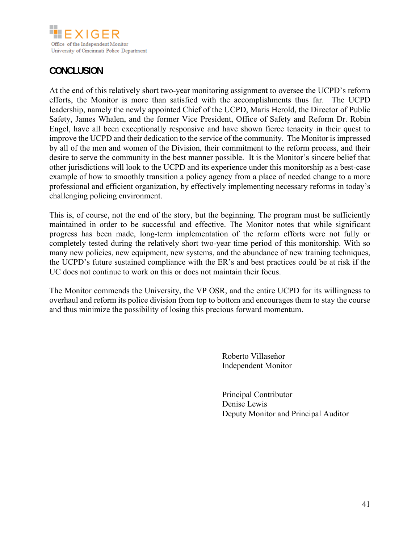

## **CONCLUSION**

At the end of this relatively short two-year monitoring assignment to oversee the UCPD's reform efforts, the Monitor is more than satisfied with the accomplishments thus far. The UCPD leadership, namely the newly appointed Chief of the UCPD, Maris Herold, the Director of Public Safety, James Whalen, and the former Vice President, Office of Safety and Reform Dr. Robin Engel, have all been exceptionally responsive and have shown fierce tenacity in their quest to improve the UCPD and their dedication to the service of the community. The Monitor is impressed by all of the men and women of the Division, their commitment to the reform process, and their desire to serve the community in the best manner possible. It is the Monitor's sincere belief that other jurisdictions will look to the UCPD and its experience under this monitorship as a best-case example of how to smoothly transition a policy agency from a place of needed change to a more professional and efficient organization, by effectively implementing necessary reforms in today's challenging policing environment.

This is, of course, not the end of the story, but the beginning. The program must be sufficiently maintained in order to be successful and effective. The Monitor notes that while significant progress has been made, long-term implementation of the reform efforts were not fully or completely tested during the relatively short two-year time period of this monitorship. With so many new policies, new equipment, new systems, and the abundance of new training techniques, the UCPD's future sustained compliance with the ER's and best practices could be at risk if the UC does not continue to work on this or does not maintain their focus.

The Monitor commends the University, the VP OSR, and the entire UCPD for its willingness to overhaul and reform its police division from top to bottom and encourages them to stay the course and thus minimize the possibility of losing this precious forward momentum.

> Roberto Villaseñor Independent Monitor

Principal Contributor Denise Lewis Deputy Monitor and Principal Auditor